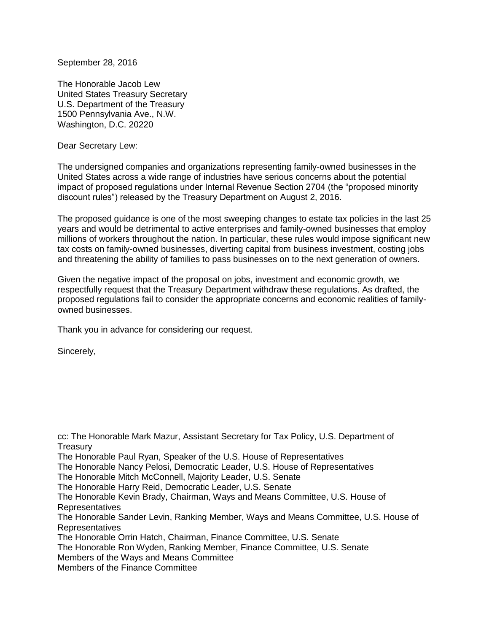September 28, 2016

The Honorable Jacob Lew United States Treasury Secretary U.S. Department of the Treasury 1500 Pennsylvania Ave., N.W. Washington, D.C. 20220

Dear Secretary Lew:

The undersigned companies and organizations representing family-owned businesses in the United States across a wide range of industries have serious concerns about the potential impact of proposed regulations under Internal Revenue Section 2704 (the "proposed minority discount rules") released by the Treasury Department on August 2, 2016.

The proposed guidance is one of the most sweeping changes to estate tax policies in the last 25 years and would be detrimental to active enterprises and family-owned businesses that employ millions of workers throughout the nation. In particular, these rules would impose significant new tax costs on family-owned businesses, diverting capital from business investment, costing jobs and threatening the ability of families to pass businesses on to the next generation of owners.

Given the negative impact of the proposal on jobs, investment and economic growth, we respectfully request that the Treasury Department withdraw these regulations. As drafted, the proposed regulations fail to consider the appropriate concerns and economic realities of familyowned businesses.

Thank you in advance for considering our request.

Sincerely,

cc: The Honorable Mark Mazur, Assistant Secretary for Tax Policy, U.S. Department of **Treasury** The Honorable Paul Ryan, Speaker of the U.S. House of Representatives The Honorable Nancy Pelosi, Democratic Leader, U.S. House of Representatives The Honorable Mitch McConnell, Majority Leader, U.S. Senate The Honorable Harry Reid, Democratic Leader, U.S. Senate The Honorable Kevin Brady, Chairman, Ways and Means Committee, U.S. House of Representatives The Honorable Sander Levin, Ranking Member, Ways and Means Committee, U.S. House of Representatives The Honorable Orrin Hatch, Chairman, Finance Committee, U.S. Senate The Honorable Ron Wyden, Ranking Member, Finance Committee, U.S. Senate Members of the Ways and Means Committee Members of the Finance Committee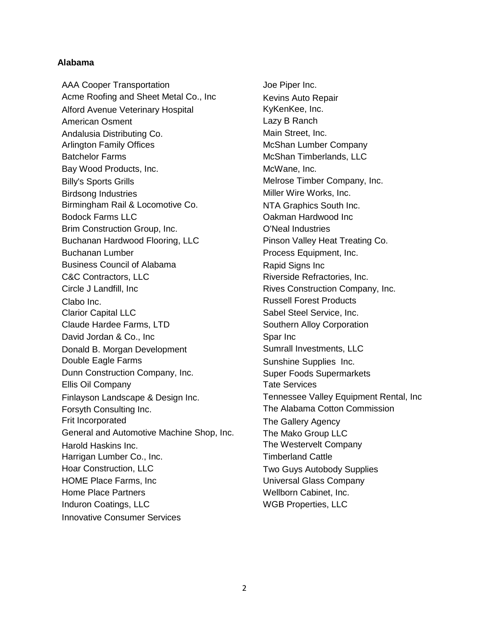# **Alabama**

AAA Cooper Transportation Acme Roofing and Sheet Metal Co., Inc Alford Avenue Veterinary Hospital American Osment Andalusia Distributing Co. Arlington Family Offices Batchelor Farms Bay Wood Products, Inc. Billy's Sports Grills Birdsong Industries Birmingham Rail & Locomotive Co. Bodock Farms LLC Brim Construction Group, Inc. Buchanan Hardwood Flooring, LLC Buchanan Lumber Business Council of Alabama C&C Contractors, LLC Circle J Landfill, Inc Clabo Inc. Clarior Capital LLC Claude Hardee Farms, LTD David Jordan & Co., Inc Donald B. Morgan Development Double Eagle Farms Dunn Construction Company, Inc. Ellis Oil Company Finlayson Landscape & Design Inc. Forsyth Consulting Inc. Frit Incorporated General and Automotive Machine Shop, Inc. Harold Haskins Inc. Harrigan Lumber Co., Inc. Hoar Construction, LLC HOME Place Farms, Inc Home Place Partners Induron Coatings, LLC Innovative Consumer Services

Joe Piper Inc. Kevins Auto Repair KyKenKee, Inc. Lazy B Ranch Main Street, Inc. McShan Lumber Company McShan Timberlands, LLC McWane, Inc. Melrose Timber Company, Inc. Miller Wire Works, Inc. NTA Graphics South Inc. Oakman Hardwood Inc O'Neal Industries Pinson Valley Heat Treating Co. Process Equipment, Inc. Rapid Signs Inc Riverside Refractories, Inc. Rives Construction Company, Inc. Russell Forest Products Sabel Steel Service, Inc. Southern Alloy Corporation Spar Inc Sumrall Investments, LLC Sunshine Supplies Inc. Super Foods Supermarkets Tate Services Tennessee Valley Equipment Rental, Inc The Alabama Cotton Commission The Gallery Agency The Mako Group LLC The Westervelt Company Timberland Cattle Two Guys Autobody Supplies Universal Glass Company Wellborn Cabinet, Inc. WGB Properties, LLC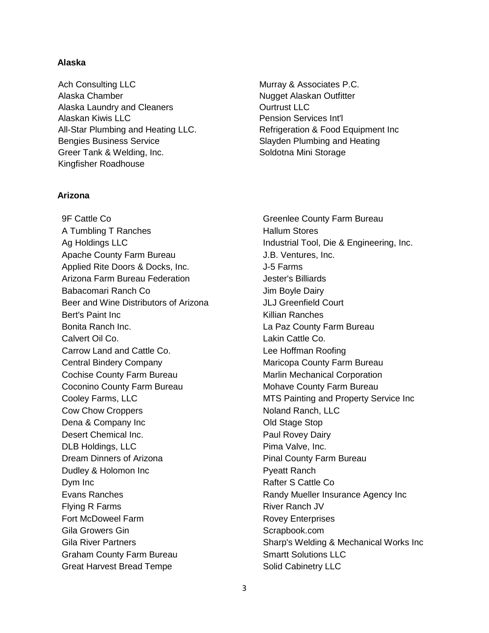# **Alaska**

Ach Consulting LLC Alaska Chamber Alaska Laundry and Cleaners Alaskan Kiwis LLC All-Star Plumbing and Heating LLC. Bengies Business Service Greer Tank & Welding, Inc. Kingfisher Roadhouse

# **Arizona**

9F Cattle Co A Tumbling T Ranches Ag Holdings LLC Apache County Farm Bureau Applied Rite Doors & Docks, Inc. Arizona Farm Bureau Federation Babacomari Ranch Co Beer and Wine Distributors of Arizona Bert's Paint Inc Bonita Ranch Inc. Calvert Oil Co. Carrow Land and Cattle Co. Central Bindery Company Cochise County Farm Bureau Coconino County Farm Bureau Cooley Farms, LLC Cow Chow Croppers Dena & Company Inc Desert Chemical Inc. DLB Holdings, LLC Dream Dinners of Arizona Dudley & Holomon Inc Dym Inc Evans Ranches Flying R Farms Fort McDoweel Farm Gila Growers Gin Gila River Partners Graham County Farm Bureau Great Harvest Bread Tempe

Murray & Associates P.C. Nugget Alaskan Outfitter Ourtrust LLC Pension Services Int'l Refrigeration & Food Equipment Inc Slayden Plumbing and Heating Soldotna Mini Storage

Greenlee County Farm Bureau Hallum Stores Industrial Tool, Die & Engineering, Inc. J.B. Ventures, Inc. J-5 Farms Jester's Billiards Jim Boyle Dairy JLJ Greenfield Court Killian Ranches La Paz County Farm Bureau Lakin Cattle Co. Lee Hoffman Roofing Maricopa County Farm Bureau Marlin Mechanical Corporation Mohave County Farm Bureau MTS Painting and Property Service Inc Noland Ranch, LLC Old Stage Stop Paul Rovey Dairy Pima Valve, Inc. Pinal County Farm Bureau Pyeatt Ranch Rafter S Cattle Co Randy Mueller Insurance Agency Inc River Ranch JV Rovey Enterprises Scrapbook.com Sharp's Welding & Mechanical Works Inc Smartt Solutions LLC Solid Cabinetry LLC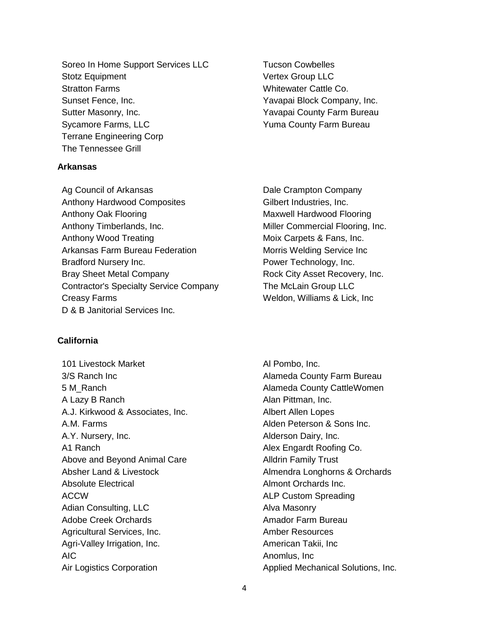Soreo In Home Support Services LLC Stotz Equipment Stratton Farms Sunset Fence, Inc. Sutter Masonry, Inc. Sycamore Farms, LLC Terrane Engineering Corp The Tennessee Grill

# **Arkansas**

Ag Council of Arkansas Anthony Hardwood Composites Anthony Oak Flooring Anthony Timberlands, Inc. Anthony Wood Treating Arkansas Farm Bureau Federation Bradford Nursery Inc. Bray Sheet Metal Company Contractor's Specialty Service Company Creasy Farms D & B Janitorial Services Inc.

Tucson Cowbelles Vertex Group LLC Whitewater Cattle Co. Yavapai Block Company, Inc. Yavapai County Farm Bureau Yuma County Farm Bureau

Dale Crampton Company Gilbert Industries, Inc. Maxwell Hardwood Flooring Miller Commercial Flooring, Inc. Moix Carpets & Fans, Inc. Morris Welding Service Inc Power Technology, Inc. Rock City Asset Recovery, Inc. The McLain Group LLC Weldon, Williams & Lick, Inc

# **California**

101 Livestock Market 3/S Ranch Inc 5 M\_Ranch A Lazy B Ranch A.J. Kirkwood & Associates, Inc. A.M. Farms A.Y. Nursery, Inc. A1 Ranch Above and Beyond Animal Care Absher Land & Livestock Absolute Electrical ACCW Adian Consulting, LLC Adobe Creek Orchards Agricultural Services, Inc. Agri-Valley Irrigation, Inc. AIC Air Logistics Corporation

Al Pombo, Inc. Alameda County Farm Bureau Alameda County CattleWomen Alan Pittman, Inc. Albert Allen Lopes Alden Peterson & Sons Inc. Alderson Dairy, Inc. Alex Engardt Roofing Co. Alldrin Family Trust Almendra Longhorns & Orchards Almont Orchards Inc. ALP Custom Spreading Alva Masonry Amador Farm Bureau Amber Resources American Takii, Inc Anomlus, Inc Applied Mechanical Solutions, Inc.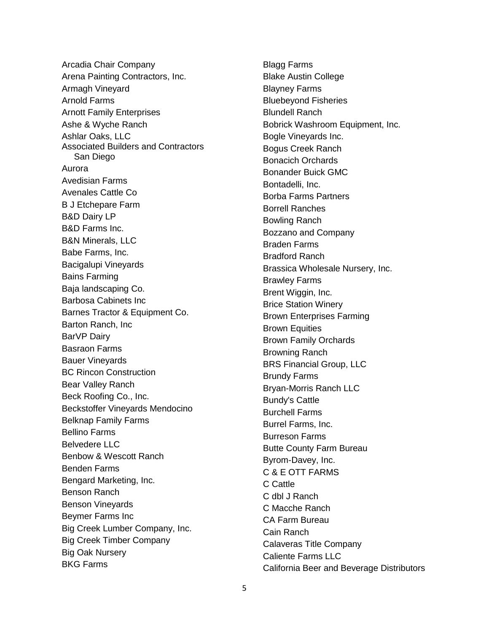Arcadia Chair Company Arena Painting Contractors, Inc. Armagh Vineyard Arnold Farms Arnott Family Enterprises Ashe & Wyche Ranch Ashlar Oaks, LLC Associated Builders and Contractors San Diego Aurora Avedisian Farms Avenales Cattle Co B J Etchepare Farm B&D Dairy LP B&D Farms Inc. B&N Minerals, LLC Babe Farms, Inc. Bacigalupi Vineyards Bains Farming Baja landscaping Co. Barbosa Cabinets Inc Barnes Tractor & Equipment Co. Barton Ranch, Inc BarVP Dairy Basraon Farms Bauer Vineyards BC Rincon Construction Bear Valley Ranch Beck Roofing Co., Inc. Beckstoffer Vineyards Mendocino Belknap Family Farms Bellino Farms Belvedere LLC Benbow & Wescott Ranch Benden Farms Bengard Marketing, Inc. Benson Ranch Benson Vineyards Beymer Farms Inc Big Creek Lumber Company, Inc. Big Creek Timber Company Big Oak Nursery BKG Farms

Blagg Farms Blake Austin College Blayney Farms Bluebeyond Fisheries Blundell Ranch Bobrick Washroom Equipment, Inc. Bogle Vineyards Inc. Bogus Creek Ranch Bonacich Orchards Bonander Buick GMC Bontadelli, Inc. Borba Farms Partners Borrell Ranches Bowling Ranch Bozzano and Company Braden Farms Bradford Ranch Brassica Wholesale Nursery, Inc. Brawley Farms Brent Wiggin, Inc. Brice Station Winery Brown Enterprises Farming Brown Equities Brown Family Orchards Browning Ranch BRS Financial Group, LLC Brundy Farms Bryan-Morris Ranch LLC Bundy's Cattle Burchell Farms Burrel Farms, Inc. Burreson Farms Butte County Farm Bureau Byrom-Davey, Inc. C & E OTT FARMS C Cattle C dbl J Ranch C Macche Ranch CA Farm Bureau Cain Ranch Calaveras Title Company Caliente Farms LLC California Beer and Beverage Distributors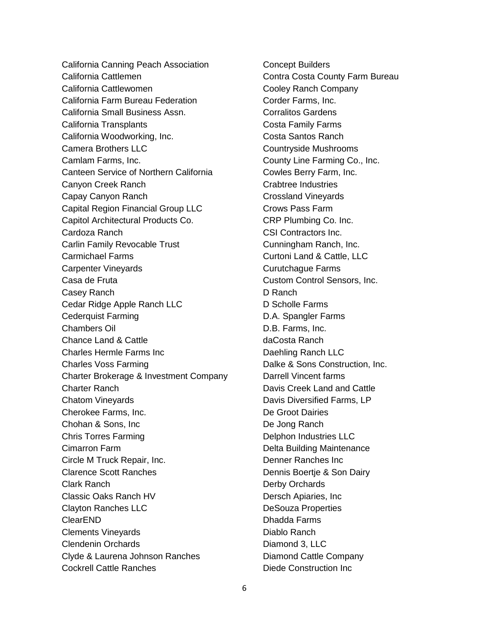California Canning Peach Association California Cattlemen California Cattlewomen California Farm Bureau Federation California Small Business Assn. California Transplants California Woodworking, Inc. Camera Brothers LLC Camlam Farms, Inc. Canteen Service of Northern California Canyon Creek Ranch Capay Canyon Ranch Capital Region Financial Group LLC Capitol Architectural Products Co. Cardoza Ranch Carlin Family Revocable Trust Carmichael Farms Carpenter Vineyards Casa de Fruta Casey Ranch Cedar Ridge Apple Ranch LLC Cederquist Farming Chambers Oil Chance Land & Cattle Charles Hermle Farms Inc Charles Voss Farming Charter Brokerage & Investment Company Charter Ranch Chatom Vineyards Cherokee Farms, Inc. Chohan & Sons, Inc Chris Torres Farming Cimarron Farm Circle M Truck Repair, Inc. Clarence Scott Ranches Clark Ranch Classic Oaks Ranch HV Clayton Ranches LLC ClearEND Clements Vineyards Clendenin Orchards Clyde & Laurena Johnson Ranches Cockrell Cattle Ranches

Concept Builders Contra Costa County Farm Bureau Cooley Ranch Company Corder Farms, Inc. Corralitos Gardens Costa Family Farms Costa Santos Ranch Countryside Mushrooms County Line Farming Co., Inc. Cowles Berry Farm, Inc. Crabtree Industries Crossland Vineyards Crows Pass Farm CRP Plumbing Co. Inc. CSI Contractors Inc. Cunningham Ranch, Inc. Curtoni Land & Cattle, LLC Curutchague Farms Custom Control Sensors, Inc. D Ranch D Scholle Farms D.A. Spangler Farms D.B. Farms, Inc. daCosta Ranch Daehling Ranch LLC Dalke & Sons Construction, Inc. Darrell Vincent farms Davis Creek Land and Cattle Davis Diversified Farms, LP De Groot Dairies De Jong Ranch Delphon Industries LLC Delta Building Maintenance Denner Ranches Inc Dennis Boertje & Son Dairy Derby Orchards Dersch Apiaries, Inc DeSouza Properties Dhadda Farms Diablo Ranch Diamond 3, LLC Diamond Cattle Company Diede Construction Inc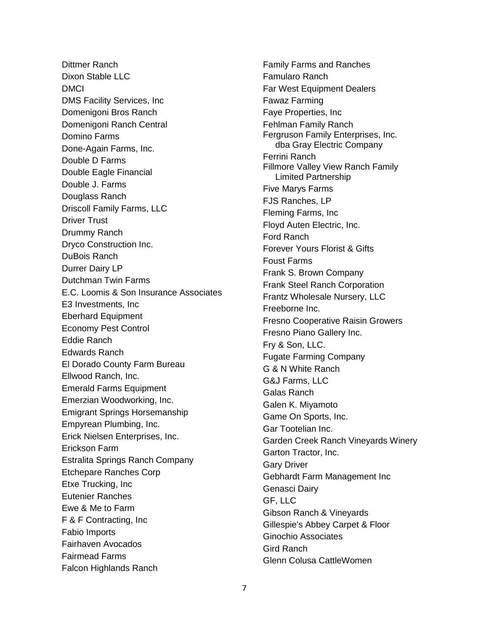Dittmer Ranch Dixon Stable LLC DMCI DMS Facility Services, Inc Domenigoni Bros Ranch Domenigoni Ranch Central Domino Farms Done-Again Farms, Inc. Double D Farms Double Eagle Financial Double J. Farms Douglass Ranch Driscoll Family Farms, LLC Driver Trust Drummy Ranch Dryco Construction Inc. DuBois Ranch Durrer Dairy LP Dutchman Twin Farms E.C. Loomis & Son Insurance Associates E3 Investments, Inc Eberhard Equipment Economy Pest Control Eddie Ranch Edwards Ranch El Dorado County Farm Bureau Ellwood Ranch, Inc. Emerald Farms Equipment Emerzian Woodworking, Inc. Emigrant Springs Horsemanship Empyrean Plumbing, Inc. Erick Nielsen Enterprises, Inc. Erickson Farm Estralita Springs Ranch Company Etchepare Ranches Corp Etxe Trucking, Inc Eutenier Ranches Ewe & Me to Farm F & F Contracting, Inc Fabio Imports Fairhaven Avocados Fairmead Farms Falcon Highlands Ranch

Family Farms and Ranches Famularo Ranch Far West Equipment Dealers Fawaz Farming Faye Properties, Inc Fehlman Family Ranch Fergruson Family Enterprises, Inc. dba Gray Electric Company Ferrini Ranch Fillmore Valley View Ranch Family Limited Partnership Five Marys Farms FJS Ranches, LP Fleming Farms, Inc Floyd Auten Electric, Inc. Ford Ranch Forever Yours Florist & Gifts Foust Farms Frank S. Brown Company Frank Steel Ranch Corporation Frantz Wholesale Nursery, LLC Freeborne Inc. Fresno Cooperative Raisin Growers Fresno Piano Gallery Inc. Fry & Son, LLC. Fugate Farming Company G & N White Ranch G&J Farms, LLC Galas Ranch Galen K. Miyamoto Game On Sports, Inc. Gar Tootelian Inc. Garden Creek Ranch Vineyards Winery Garton Tractor, Inc. Gary Driver Gebhardt Farm Management Inc Genasci Dairy GF, LLC Gibson Ranch & Vineyards Gillespie's Abbey Carpet & Floor Ginochio Associates Gird Ranch Glenn Colusa CattleWomen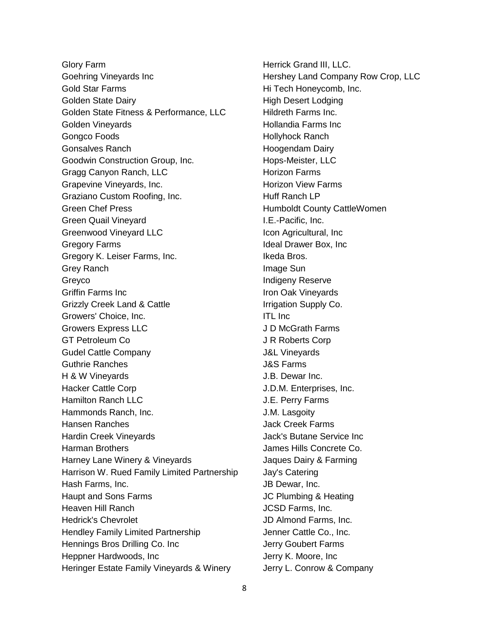Glory Farm Goehring Vineyards Inc Gold Star Farms Golden State Dairy Golden State Fitness & Performance, LLC Golden Vineyards Gongco Foods Gonsalves Ranch Goodwin Construction Group, Inc. Gragg Canyon Ranch, LLC Grapevine Vineyards, Inc. Graziano Custom Roofing, Inc. Green Chef Press Green Quail Vineyard Greenwood Vineyard LLC Gregory Farms Gregory K. Leiser Farms, Inc. Grey Ranch Greyco Griffin Farms Inc Grizzly Creek Land & Cattle Growers' Choice, Inc. Growers Express LLC GT Petroleum Co Gudel Cattle Company Guthrie Ranches H & W Vineyards Hacker Cattle Corp Hamilton Ranch LLC Hammonds Ranch, Inc. Hansen Ranches Hardin Creek Vineyards Harman Brothers Harney Lane Winery & Vineyards Harrison W. Rued Family Limited Partnership Hash Farms, Inc. Haupt and Sons Farms Heaven Hill Ranch Hedrick's Chevrolet Hendley Family Limited Partnership Hennings Bros Drilling Co. Inc Heppner Hardwoods, Inc Heringer Estate Family Vineyards & Winery

Herrick Grand III, LLC. Hershey Land Company Row Crop, LLC Hi Tech Honeycomb, Inc. High Desert Lodging Hildreth Farms Inc. Hollandia Farms Inc Hollyhock Ranch Hoogendam Dairy Hops-Meister, LLC Horizon Farms Horizon View Farms Huff Ranch LP Humboldt County CattleWomen I.E.-Pacific, Inc. Icon Agricultural, Inc Ideal Drawer Box, Inc Ikeda Bros. Image Sun Indigeny Reserve Iron Oak Vineyards Irrigation Supply Co. ITL Inc J D McGrath Farms J R Roberts Corp J&L Vineyards J&S Farms J.B. Dewar Inc. J.D.M. Enterprises, Inc. J.E. Perry Farms J.M. Lasgoity Jack Creek Farms Jack's Butane Service Inc James Hills Concrete Co. Jaques Dairy & Farming Jay's Catering JB Dewar, Inc. JC Plumbing & Heating JCSD Farms, Inc. JD Almond Farms, Inc. Jenner Cattle Co., Inc. Jerry Goubert Farms Jerry K. Moore, Inc Jerry L. Conrow & Company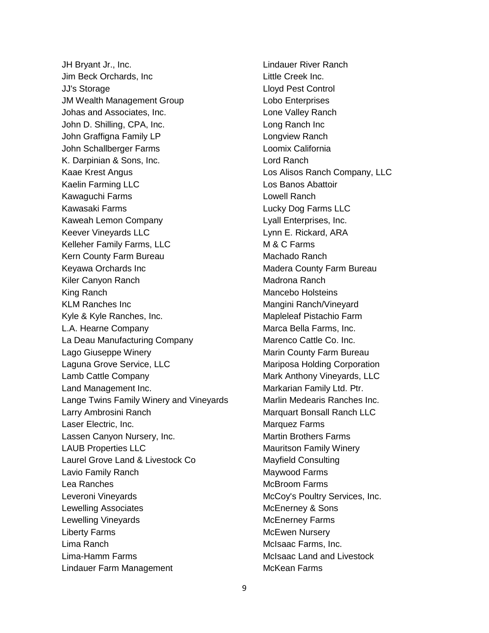JH Bryant Jr., Inc. Jim Beck Orchards, Inc JJ's Storage JM Wealth Management Group Johas and Associates, Inc. John D. Shilling, CPA, Inc. John Graffigna Family LP John Schallberger Farms K. Darpinian & Sons, Inc. Kaae Krest Angus Kaelin Farming LLC Kawaguchi Farms Kawasaki Farms Kaweah Lemon Company Keever Vineyards LLC Kelleher Family Farms, LLC Kern County Farm Bureau Keyawa Orchards Inc Kiler Canyon Ranch King Ranch KLM Ranches Inc Kyle & Kyle Ranches, Inc. L.A. Hearne Company La Deau Manufacturing Company Lago Giuseppe Winery Laguna Grove Service, LLC Lamb Cattle Company Land Management Inc. Lange Twins Family Winery and Vineyards Larry Ambrosini Ranch Laser Electric, Inc. Lassen Canyon Nursery, Inc. LAUB Properties LLC Laurel Grove Land & Livestock Co Lavio Family Ranch Lea Ranches Leveroni Vineyards Lewelling Associates Lewelling Vineyards Liberty Farms Lima Ranch Lima-Hamm Farms Lindauer Farm Management

Lindauer River Ranch Little Creek Inc. Lloyd Pest Control Lobo Enterprises Lone Valley Ranch Long Ranch Inc Longview Ranch Loomix California Lord Ranch Los Alisos Ranch Company, LLC Los Banos Abattoir Lowell Ranch Lucky Dog Farms LLC Lyall Enterprises, Inc. Lynn E. Rickard, ARA M & C Farms Machado Ranch Madera County Farm Bureau Madrona Ranch Mancebo Holsteins Mangini Ranch/Vineyard Mapleleaf Pistachio Farm Marca Bella Farms, Inc. Marenco Cattle Co. Inc. Marin County Farm Bureau Mariposa Holding Corporation Mark Anthony Vineyards, LLC Markarian Family Ltd. Ptr. Marlin Medearis Ranches Inc. Marquart Bonsall Ranch LLC Marquez Farms Martin Brothers Farms Mauritson Family Winery Mayfield Consulting Maywood Farms McBroom Farms McCoy's Poultry Services, Inc. McEnerney & Sons McEnerney Farms McEwen Nursery McIsaac Farms, Inc. McIsaac Land and Livestock McKean Farms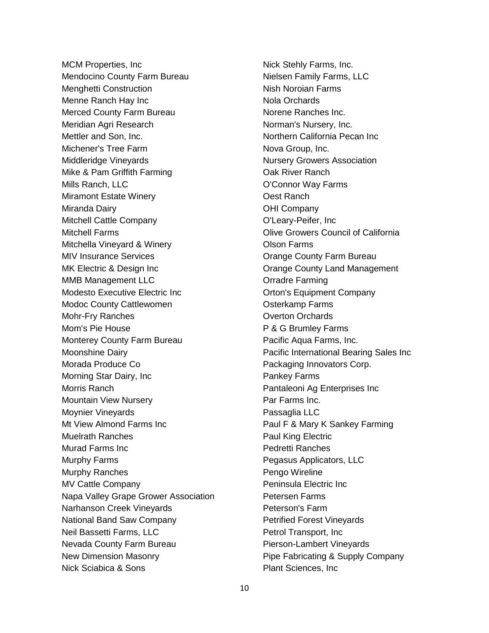MCM Properties, Inc Mendocino County Farm Bureau Menghetti Construction Menne Ranch Hay Inc Merced County Farm Bureau Meridian Agri Research Mettler and Son, Inc. Michener's Tree Farm Middleridge Vineyards Mike & Pam Griffith Farming Mills Ranch, LLC Miramont Estate Winery Miranda Dairy Mitchell Cattle Company Mitchell Farms Mitchella Vineyard & Winery MIV Insurance Services MK Electric & Design Inc MMB Management LLC Modesto Executive Electric Inc Modoc County Cattlewomen Mohr-Fry Ranches Mom's Pie House Monterey County Farm Bureau Moonshine Dairy Morada Produce Co Morning Star Dairy, Inc Morris Ranch Mountain View Nursery Moynier Vineyards Mt View Almond Farms Inc Muelrath Ranches Murad Farms Inc Murphy Farms Murphy Ranches MV Cattle Company Napa Valley Grape Grower Association Narhanson Creek Vineyards National Band Saw Company Neil Bassetti Farms, LLC Nevada County Farm Bureau New Dimension Masonry Nick Sciabica & Sons

Nick Stehly Farms, Inc. Nielsen Family Farms, LLC Nish Noroian Farms Nola Orchards Norene Ranches Inc. Norman's Nursery, Inc. Northern California Pecan Inc Nova Group, Inc. Nursery Growers Association Oak River Ranch O'Connor Way Farms Oest Ranch OHI Company O'Leary-Peifer, Inc Olive Growers Council of California Olson Farms Orange County Farm Bureau Orange County Land Management Orradre Farming Orton's Equipment Company Osterkamp Farms Overton Orchards P & G Brumley Farms Pacific Aqua Farms, Inc. Pacific International Bearing Sales Inc Packaging Innovators Corp. Pankey Farms Pantaleoni Ag Enterprises Inc Par Farms Inc. Passaglia LLC Paul F & Mary K Sankey Farming Paul King Electric Pedretti Ranches Pegasus Applicators, LLC Pengo Wireline Peninsula Electric Inc Petersen Farms Peterson's Farm Petrified Forest Vineyards Petrol Transport, Inc Pierson-Lambert Vineyards Pipe Fabricating & Supply Company Plant Sciences, Inc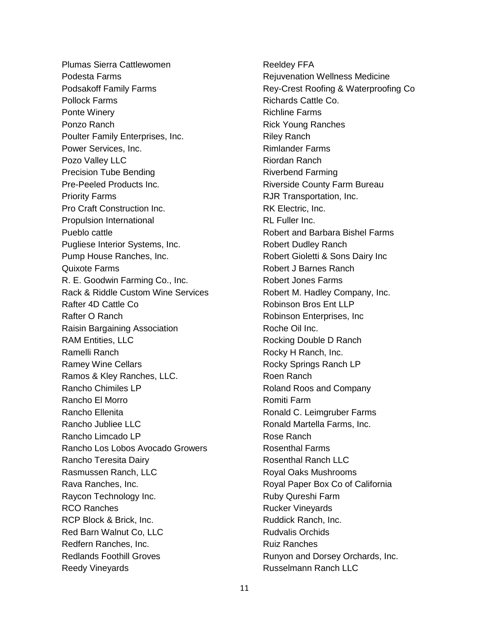Plumas Sierra Cattlewomen Podesta Farms Podsakoff Family Farms Pollock Farms Ponte Winery Ponzo Ranch Poulter Family Enterprises, Inc. Power Services, Inc. Pozo Valley LLC Precision Tube Bending Pre-Peeled Products Inc. Priority Farms Pro Craft Construction Inc. Propulsion International Pueblo cattle Pugliese Interior Systems, Inc. Pump House Ranches, Inc. Quixote Farms R. E. Goodwin Farming Co., Inc. Rack & Riddle Custom Wine Services Rafter 4D Cattle Co Rafter O Ranch Raisin Bargaining Association RAM Entities, LLC Ramelli Ranch Ramey Wine Cellars Ramos & Kley Ranches, LLC. Rancho Chimiles LP Rancho El Morro Rancho Ellenita Rancho Jubliee LLC Rancho Limcado LP Rancho Los Lobos Avocado Growers Rancho Teresita Dairy Rasmussen Ranch, LLC Rava Ranches, Inc. Raycon Technology Inc. RCO Ranches RCP Block & Brick, Inc. Red Barn Walnut Co, LLC Redfern Ranches, Inc. Redlands Foothill Groves Reedy Vineyards

Reeldey FFA Rejuvenation Wellness Medicine Rey-Crest Roofing & Waterproofing Co Richards Cattle Co. Richline Farms Rick Young Ranches Riley Ranch Rimlander Farms Riordan Ranch Riverbend Farming Riverside County Farm Bureau RJR Transportation, Inc. RK Electric, Inc. RL Fuller Inc. Robert and Barbara Bishel Farms Robert Dudley Ranch Robert Gioletti & Sons Dairy Inc Robert J Barnes Ranch Robert Jones Farms Robert M. Hadley Company, Inc. Robinson Bros Ent LLP Robinson Enterprises, Inc Roche Oil Inc. Rocking Double D Ranch Rocky H Ranch, Inc. Rocky Springs Ranch LP Roen Ranch Roland Roos and Company Romiti Farm Ronald C. Leimgruber Farms Ronald Martella Farms, Inc. Rose Ranch Rosenthal Farms Rosenthal Ranch LLC Royal Oaks Mushrooms Royal Paper Box Co of California Ruby Qureshi Farm Rucker Vineyards Ruddick Ranch, Inc. Rudvalis Orchids Ruiz Ranches Runyon and Dorsey Orchards, Inc. Russelmann Ranch LLC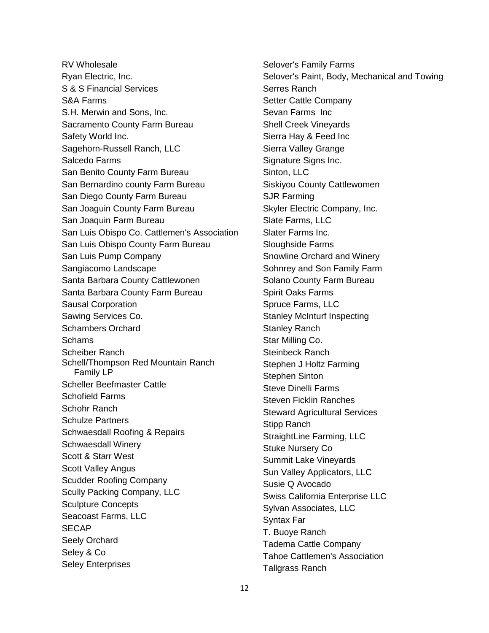RV Wholesale Ryan Electric, Inc. S & S Financial Services S&A Farms S.H. Merwin and Sons, Inc. Sacramento County Farm Bureau Safety World Inc. Sagehorn-Russell Ranch, LLC Salcedo Farms San Benito County Farm Bureau San Bernardino county Farm Bureau San Diego County Farm Bureau San Joaguin County Farm Bureau San Joaquin Farm Bureau San Luis Obispo Co. Cattlemen's Association San Luis Obispo County Farm Bureau San Luis Pump Company Sangiacomo Landscape Santa Barbara County Cattlewonen Santa Barbara County Farm Bureau Sausal Corporation Sawing Services Co. Schambers Orchard **Schams** Scheiber Ranch Schell/Thompson Red Mountain Ranch Family LP Scheller Beefmaster Cattle Schofield Farms Schohr Ranch Schulze Partners Schwaesdall Roofing & Repairs Schwaesdall Winery Scott & Starr West Scott Valley Angus Scudder Roofing Company Scully Packing Company, LLC Sculpture Concepts Seacoast Farms, LLC SECAP Seely Orchard Seley & Co Seley Enterprises

Selover's Family Farms Selover's Paint, Body, Mechanical and Towing Serres Ranch Setter Cattle Company Sevan Farms Inc Shell Creek Vineyards Sierra Hay & Feed Inc Sierra Valley Grange Signature Signs Inc. Sinton, LLC Siskiyou County Cattlewomen SJR Farming Skyler Electric Company, Inc. Slate Farms, LLC Slater Farms Inc. Sloughside Farms Snowline Orchard and Winery Sohnrey and Son Family Farm Solano County Farm Bureau Spirit Oaks Farms Spruce Farms, LLC Stanley McInturf Inspecting Stanley Ranch Star Milling Co. Steinbeck Ranch Stephen J Holtz Farming Stephen Sinton Steve Dinelli Farms Steven Ficklin Ranches Steward Agricultural Services Stipp Ranch StraightLine Farming, LLC Stuke Nursery Co Summit Lake Vineyards Sun Valley Applicators, LLC Susie Q Avocado Swiss California Enterprise LLC Sylvan Associates, LLC Syntax Far T. Buoye Ranch Tadema Cattle Company Tahoe Cattlemen's Association Tallgrass Ranch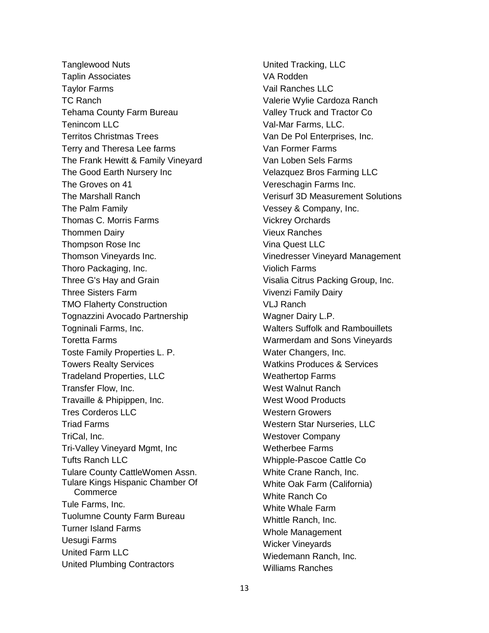Tanglewood Nuts Taplin Associates Taylor Farms TC Ranch Tehama County Farm Bureau Tenincom LLC Territos Christmas Trees Terry and Theresa Lee farms The Frank Hewitt & Family Vineyard The Good Earth Nursery Inc The Groves on 41 The Marshall Ranch The Palm Family Thomas C. Morris Farms Thommen Dairy Thompson Rose Inc Thomson Vineyards Inc. Thoro Packaging, Inc. Three G's Hay and Grain Three Sisters Farm TMO Flaherty Construction Tognazzini Avocado Partnership Togninali Farms, Inc. Toretta Farms Toste Family Properties L. P. Towers Realty Services Tradeland Properties, LLC Transfer Flow, Inc. Travaille & Phipippen, Inc. Tres Corderos LLC Triad Farms TriCal, Inc. Tri-Valley Vineyard Mgmt, Inc Tufts Ranch LLC Tulare County CattleWomen Assn. Tulare Kings Hispanic Chamber Of **Commerce** Tule Farms, Inc. Tuolumne County Farm Bureau Turner Island Farms Uesugi Farms United Farm LLC United Plumbing Contractors

United Tracking, LLC VA Rodden Vail Ranches LLC Valerie Wylie Cardoza Ranch Valley Truck and Tractor Co Val-Mar Farms, LLC. Van De Pol Enterprises, Inc. Van Former Farms Van Loben Sels Farms Velazquez Bros Farming LLC Vereschagin Farms Inc. Verisurf 3D Measurement Solutions Vessey & Company, Inc. Vickrey Orchards Vieux Ranches Vina Quest LLC Vinedresser Vineyard Management Violich Farms Visalia Citrus Packing Group, Inc. Vivenzi Family Dairy VLJ Ranch Wagner Dairy L.P. Walters Suffolk and Rambouillets Warmerdam and Sons Vineyards Water Changers, Inc. Watkins Produces & Services Weathertop Farms West Walnut Ranch West Wood Products Western Growers Western Star Nurseries, LLC Westover Company Wetherbee Farms Whipple-Pascoe Cattle Co White Crane Ranch, Inc. White Oak Farm (California) White Ranch Co White Whale Farm Whittle Ranch, Inc. Whole Management Wicker Vineyards Wiedemann Ranch, Inc. Williams Ranches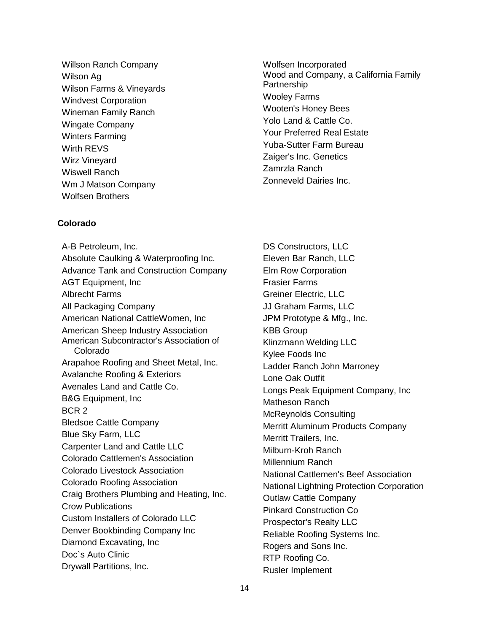Willson Ranch Company Wilson Ag Wilson Farms & Vineyards Windvest Corporation Wineman Family Ranch Wingate Company Winters Farming Wirth REVS Wirz Vineyard Wiswell Ranch Wm J Matson Company Wolfsen Brothers

# **Colorado**

A-B Petroleum, Inc. Absolute Caulking & Waterproofing Inc. Advance Tank and Construction Company AGT Equipment, Inc Albrecht Farms All Packaging Company American National CattleWomen, Inc American Sheep Industry Association American Subcontractor's Association of Colorado Arapahoe Roofing and Sheet Metal, Inc. Avalanche Roofing & Exteriors Avenales Land and Cattle Co. B&G Equipment, Inc BCR 2 Bledsoe Cattle Company Blue Sky Farm, LLC Carpenter Land and Cattle LLC Colorado Cattlemen's Association Colorado Livestock Association Colorado Roofing Association Craig Brothers Plumbing and Heating, Inc. Crow Publications Custom Installers of Colorado LLC Denver Bookbinding Company Inc Diamond Excavating, Inc Doc`s Auto Clinic Drywall Partitions, Inc.

Wolfsen Incorporated Wood and Company, a California Family Partnership Wooley Farms Wooten's Honey Bees Yolo Land & Cattle Co. Your Preferred Real Estate Yuba-Sutter Farm Bureau Zaiger's Inc. Genetics Zamrzla Ranch Zonneveld Dairies Inc.

DS Constructors, LLC Eleven Bar Ranch, LLC Elm Row Corporation Frasier Farms Greiner Electric, LLC JJ Graham Farms, LLC JPM Prototype & Mfg., Inc. KBB Group Klinzmann Welding LLC Kylee Foods Inc Ladder Ranch John Marroney Lone Oak Outfit Longs Peak Equipment Company, Inc Matheson Ranch McReynolds Consulting Merritt Aluminum Products Company Merritt Trailers, Inc. Milburn-Kroh Ranch Millennium Ranch National Cattlemen's Beef Association National Lightning Protection Corporation Outlaw Cattle Company Pinkard Construction Co Prospector's Realty LLC Reliable Roofing Systems Inc. Rogers and Sons Inc. RTP Roofing Co. Rusler Implement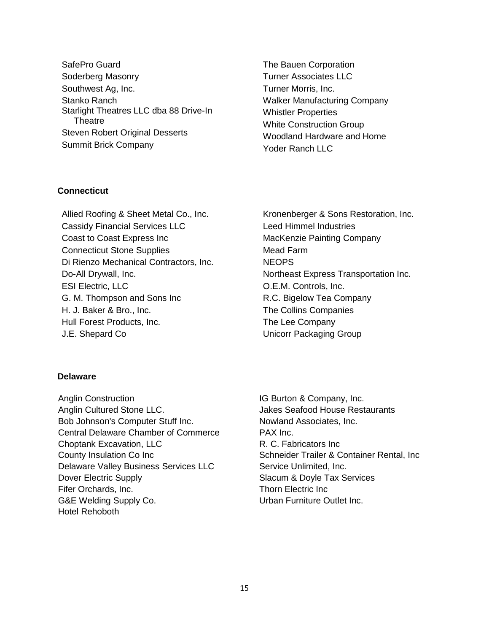SafePro Guard Soderberg Masonry Southwest Ag, Inc. Stanko Ranch Starlight Theatres LLC dba 88 Drive-In **Theatre** Steven Robert Original Desserts Summit Brick Company

The Bauen Corporation Turner Associates LLC Turner Morris, Inc. Walker Manufacturing Company Whistler Properties White Construction Group Woodland Hardware and Home Yoder Ranch LLC

# **Connecticut**

Allied Roofing & Sheet Metal Co., Inc. Cassidy Financial Services LLC Coast to Coast Express Inc Connecticut Stone Supplies Di Rienzo Mechanical Contractors, Inc. Do-All Drywall, Inc. ESI Electric, LLC G. M. Thompson and Sons Inc H. J. Baker & Bro., Inc. Hull Forest Products, Inc. J.E. Shepard Co

Kronenberger & Sons Restoration, Inc. Leed Himmel Industries MacKenzie Painting Company Mead Farm **NEOPS** Northeast Express Transportation Inc. O.E.M. Controls, Inc. R.C. Bigelow Tea Company The Collins Companies The Lee Company Unicorr Packaging Group

#### **Delaware**

Anglin Construction Anglin Cultured Stone LLC. Bob Johnson's Computer Stuff Inc. Central Delaware Chamber of Commerce Choptank Excavation, LLC County Insulation Co Inc Delaware Valley Business Services LLC Dover Electric Supply Fifer Orchards, Inc. G&E Welding Supply Co. Hotel Rehoboth

IG Burton & Company, Inc. Jakes Seafood House Restaurants Nowland Associates, Inc. PAX Inc. R. C. Fabricators Inc Schneider Trailer & Container Rental, Inc Service Unlimited, Inc. Slacum & Doyle Tax Services Thorn Electric Inc Urban Furniture Outlet Inc.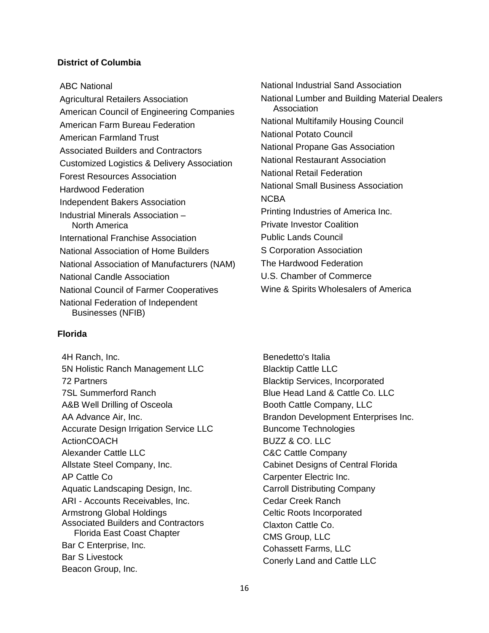# **District of Columbia**

ABC National

Agricultural Retailers Association American Council of Engineering Companies American Farm Bureau Federation American Farmland Trust Associated Builders and Contractors Customized Logistics & Delivery Association Forest Resources Association Hardwood Federation Independent Bakers Association Industrial Minerals Association – North America International Franchise Association National Association of Home Builders National Association of Manufacturers (NAM) National Candle Association National Council of Farmer Cooperatives National Federation of Independent Businesses (NFIB)

# **Florida**

4H Ranch, Inc. 5N Holistic Ranch Management LLC 72 Partners 7SL Summerford Ranch A&B Well Drilling of Osceola AA Advance Air, Inc. Accurate Design Irrigation Service LLC ActionCOACH Alexander Cattle LLC Allstate Steel Company, Inc. AP Cattle Co Aquatic Landscaping Design, Inc. ARI - Accounts Receivables, Inc. Armstrong Global Holdings Associated Builders and Contractors Florida East Coast Chapter Bar C Enterprise, Inc. Bar S Livestock Beacon Group, Inc.

National Industrial Sand Association National Lumber and Building Material Dealers Association National Multifamily Housing Council National Potato Council National Propane Gas Association National Restaurant Association National Retail Federation National Small Business Association NCBA Printing Industries of America Inc. Private Investor Coalition Public Lands Council S Corporation Association The Hardwood Federation U.S. Chamber of Commerce Wine & Spirits Wholesalers of America

Benedetto's Italia Blacktip Cattle LLC Blacktip Services, Incorporated Blue Head Land & Cattle Co. LLC Booth Cattle Company, LLC Brandon Development Enterprises Inc. Buncome Technologies BUZZ & CO. LLC C&C Cattle Company Cabinet Designs of Central Florida Carpenter Electric Inc. Carroll Distributing Company Cedar Creek Ranch Celtic Roots Incorporated Claxton Cattle Co. CMS Group, LLC Cohassett Farms, LLC Conerly Land and Cattle LLC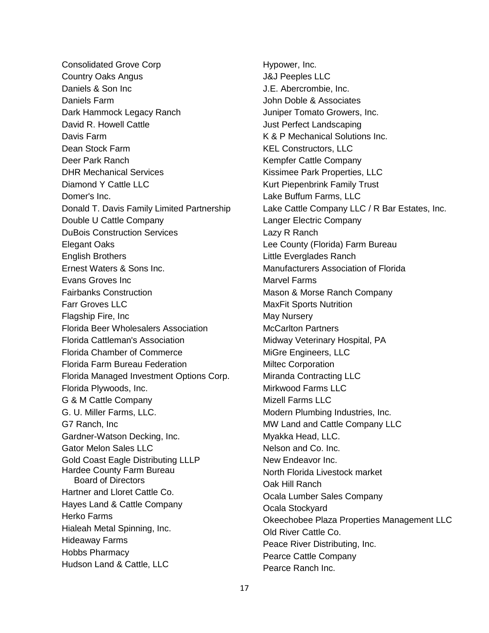Consolidated Grove Corp Country Oaks Angus Daniels & Son Inc Daniels Farm Dark Hammock Legacy Ranch David R. Howell Cattle Davis Farm Dean Stock Farm Deer Park Ranch DHR Mechanical Services Diamond Y Cattle LLC Domer's Inc. Donald T. Davis Family Limited Partnership Double U Cattle Company DuBois Construction Services Elegant Oaks English Brothers Ernest Waters & Sons Inc. Evans Groves Inc Fairbanks Construction Farr Groves LLC Flagship Fire, Inc Florida Beer Wholesalers Association Florida Cattleman's Association Florida Chamber of Commerce Florida Farm Bureau Federation Florida Managed Investment Options Corp. Florida Plywoods, Inc. G & M Cattle Company G. U. Miller Farms, LLC. G7 Ranch, Inc Gardner-Watson Decking, Inc. Gator Melon Sales LLC Gold Coast Eagle Distributing LLLP Hardee County Farm Bureau Board of Directors Hartner and Lloret Cattle Co. Hayes Land & Cattle Company Herko Farms Hialeah Metal Spinning, Inc. Hideaway Farms Hobbs Pharmacy Hudson Land & Cattle, LLC

Hypower, Inc. J&J Peeples LLC J.E. Abercrombie, Inc. John Doble & Associates Juniper Tomato Growers, Inc. Just Perfect Landscaping K & P Mechanical Solutions Inc. KEL Constructors, LLC Kempfer Cattle Company Kissimee Park Properties, LLC Kurt Piepenbrink Family Trust Lake Buffum Farms, LLC Lake Cattle Company LLC / R Bar Estates, Inc. Langer Electric Company Lazy R Ranch Lee County (Florida) Farm Bureau Little Everglades Ranch Manufacturers Association of Florida Marvel Farms Mason & Morse Ranch Company MaxFit Sports Nutrition May Nursery McCarlton Partners Midway Veterinary Hospital, PA MiGre Engineers, LLC Miltec Corporation Miranda Contracting LLC Mirkwood Farms LLC Mizell Farms LLC Modern Plumbing Industries, Inc. MW Land and Cattle Company LLC Myakka Head, LLC. Nelson and Co. Inc. New Endeavor Inc. North Florida Livestock market Oak Hill Ranch Ocala Lumber Sales Company Ocala Stockyard Okeechobee Plaza Properties Management LLC Old River Cattle Co. Peace River Distributing, Inc. Pearce Cattle Company Pearce Ranch Inc.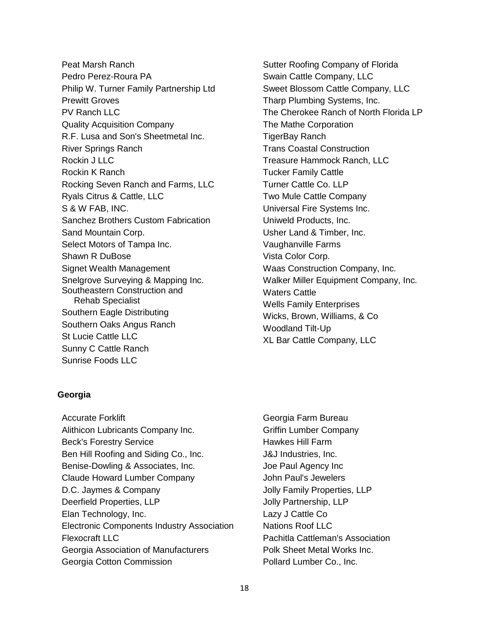Peat Marsh Ranch Pedro Perez-Roura PA Philip W. Turner Family Partnership Ltd Prewitt Groves PV Ranch LLC Quality Acquisition Company R.F. Lusa and Son's Sheetmetal Inc. River Springs Ranch Rockin J LLC Rockin K Ranch Rocking Seven Ranch and Farms, LLC Ryals Citrus & Cattle, LLC S & W FAB, INC. Sanchez Brothers Custom Fabrication Sand Mountain Corp. Select Motors of Tampa Inc. Shawn R DuBose Signet Wealth Management Snelgrove Surveying & Mapping Inc. Southeastern Construction and Rehab Specialist Southern Eagle Distributing Southern Oaks Angus Ranch St Lucie Cattle LLC Sunny C Cattle Ranch Sunrise Foods LLC

Sutter Roofing Company of Florida Swain Cattle Company, LLC Sweet Blossom Cattle Company, LLC Tharp Plumbing Systems, Inc. The Cherokee Ranch of North Florida LP The Mathe Corporation TigerBay Ranch Trans Coastal Construction Treasure Hammock Ranch, LLC Tucker Family Cattle Turner Cattle Co. LLP Two Mule Cattle Company Universal Fire Systems Inc. Uniweld Products, Inc. Usher Land & Timber, Inc. Vaughanville Farms Vista Color Corp. Waas Construction Company, Inc. Walker Miller Equipment Company, Inc. Waters Cattle Wells Family Enterprises Wicks, Brown, Williams, & Co Woodland Tilt-Up XL Bar Cattle Company, LLC

# **Georgia**

- Accurate Forklift Alithicon Lubricants Company Inc. Beck's Forestry Service Ben Hill Roofing and Siding Co., Inc. Benise-Dowling & Associates, Inc. Claude Howard Lumber Company D.C. Jaymes & Company Deerfield Properties, LLP Elan Technology, Inc. Electronic Components Industry Association Flexocraft LLC Georgia Association of Manufacturers Georgia Cotton Commission
- Georgia Farm Bureau Griffin Lumber Company Hawkes Hill Farm J&J Industries, Inc. Joe Paul Agency Inc John Paul's Jewelers Jolly Family Properties, LLP Jolly Partnership, LLP Lazy J Cattle Co Nations Roof LLC Pachitla Cattleman's Association Polk Sheet Metal Works Inc. Pollard Lumber Co., Inc.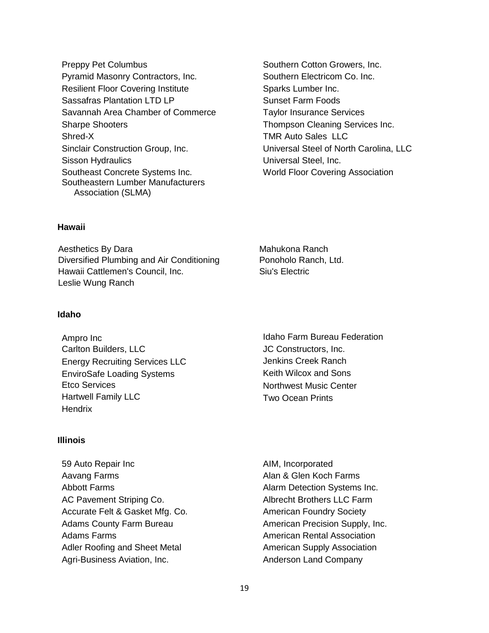- Preppy Pet Columbus Pyramid Masonry Contractors, Inc. Resilient Floor Covering Institute Sassafras Plantation LTD LP Savannah Area Chamber of Commerce Sharpe Shooters Shred-X Sinclair Construction Group, Inc. Sisson Hydraulics Southeast Concrete Systems Inc. Southeastern Lumber Manufacturers Association (SLMA)
- Southern Cotton Growers, Inc. Southern Electricom Co. Inc. Sparks Lumber Inc. Sunset Farm Foods Taylor Insurance Services Thompson Cleaning Services Inc. TMR Auto Sales LLC Universal Steel of North Carolina, LLC Universal Steel, Inc. World Floor Covering Association

# **Hawaii**

Aesthetics By Dara Diversified Plumbing and Air Conditioning Hawaii Cattlemen's Council, Inc. Leslie Wung Ranch

#### **Idaho**

Ampro Inc Carlton Builders, LLC Energy Recruiting Services LLC EnviroSafe Loading Systems Etco Services Hartwell Family LLC **Hendrix** 

# **Illinois**

59 Auto Repair Inc Aavang Farms Abbott Farms AC Pavement Striping Co. Accurate Felt & Gasket Mfg. Co. Adams County Farm Bureau Adams Farms Adler Roofing and Sheet Metal Agri-Business Aviation, Inc.

Mahukona Ranch Ponoholo Ranch, Ltd. Siu's Electric

Idaho Farm Bureau Federation JC Constructors, Inc. Jenkins Creek Ranch Keith Wilcox and Sons Northwest Music Center Two Ocean Prints

AIM, Incorporated Alan & Glen Koch Farms Alarm Detection Systems Inc. Albrecht Brothers LLC Farm American Foundry Society American Precision Supply, Inc. American Rental Association American Supply Association Anderson Land Company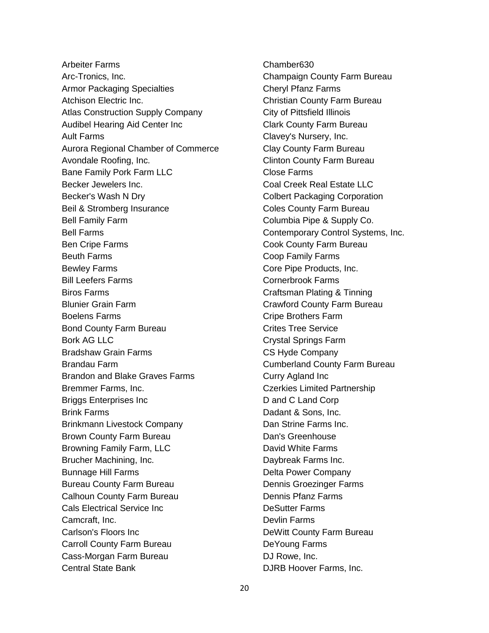Arbeiter Farms Arc-Tronics, Inc. Armor Packaging Specialties Atchison Electric Inc. Atlas Construction Supply Company Audibel Hearing Aid Center Inc Ault Farms Aurora Regional Chamber of Commerce Avondale Roofing, Inc. Bane Family Pork Farm LLC Becker Jewelers Inc. Becker's Wash N Dry Beil & Stromberg Insurance Bell Family Farm Bell Farms Ben Cripe Farms Beuth Farms Bewley Farms Bill Leefers Farms Biros Farms Blunier Grain Farm Boelens Farms Bond County Farm Bureau Bork AG LLC Bradshaw Grain Farms Brandau Farm Brandon and Blake Graves Farms Bremmer Farms, Inc. Briggs Enterprises Inc Brink Farms Brinkmann Livestock Company Brown County Farm Bureau Browning Family Farm, LLC Brucher Machining, Inc. Bunnage Hill Farms Bureau County Farm Bureau Calhoun County Farm Bureau Cals Electrical Service Inc Camcraft, Inc. Carlson's Floors Inc Carroll County Farm Bureau Cass-Morgan Farm Bureau Central State Bank

Chamber630 Champaign County Farm Bureau Cheryl Pfanz Farms Christian County Farm Bureau City of Pittsfield Illinois Clark County Farm Bureau Clavey's Nursery, Inc. Clay County Farm Bureau Clinton County Farm Bureau Close Farms Coal Creek Real Estate LLC Colbert Packaging Corporation Coles County Farm Bureau Columbia Pipe & Supply Co. Contemporary Control Systems, Inc. Cook County Farm Bureau Coop Family Farms Core Pipe Products, Inc. Cornerbrook Farms Craftsman Plating & Tinning Crawford County Farm Bureau Cripe Brothers Farm Crites Tree Service Crystal Springs Farm CS Hyde Company Cumberland County Farm Bureau Curry Agland Inc Czerkies Limited Partnership D and C Land Corp Dadant & Sons, Inc. Dan Strine Farms Inc. Dan's Greenhouse David White Farms Daybreak Farms Inc. Delta Power Company Dennis Groezinger Farms Dennis Pfanz Farms DeSutter Farms Devlin Farms DeWitt County Farm Bureau DeYoung Farms DJ Rowe, Inc. DJRB Hoover Farms, Inc.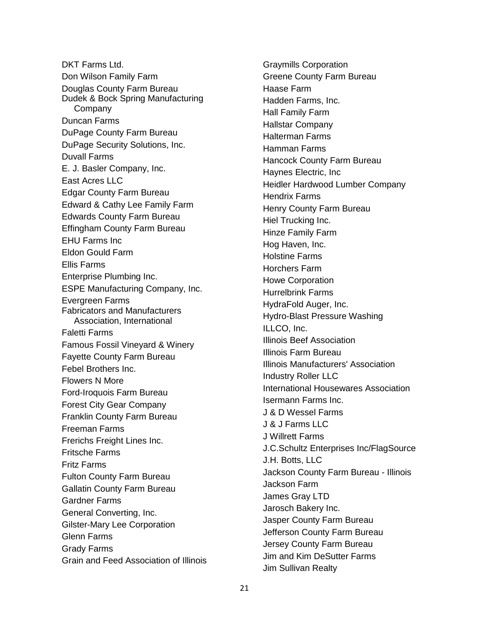DKT Farms Ltd. Don Wilson Family Farm Douglas County Farm Bureau Dudek & Bock Spring Manufacturing Company Duncan Farms DuPage County Farm Bureau DuPage Security Solutions, Inc. Duvall Farms E. J. Basler Company, Inc. East Acres LLC Edgar County Farm Bureau Edward & Cathy Lee Family Farm Edwards County Farm Bureau Effingham County Farm Bureau EHU Farms Inc Eldon Gould Farm Ellis Farms Enterprise Plumbing Inc. ESPE Manufacturing Company, Inc. Evergreen Farms Fabricators and Manufacturers Association, International Faletti Farms Famous Fossil Vineyard & Winery Fayette County Farm Bureau Febel Brothers Inc. Flowers N More Ford-Iroquois Farm Bureau Forest City Gear Company Franklin County Farm Bureau Freeman Farms Frerichs Freight Lines Inc. Fritsche Farms Fritz Farms Fulton County Farm Bureau Gallatin County Farm Bureau Gardner Farms General Converting, Inc. Gilster-Mary Lee Corporation Glenn Farms Grady Farms Grain and Feed Association of Illinois Graymills Corporation Greene County Farm Bureau Haase Farm Hadden Farms, Inc. Hall Family Farm Hallstar Company Halterman Farms Hamman Farms Hancock County Farm Bureau Haynes Electric, Inc Heidler Hardwood Lumber Company Hendrix Farms Henry County Farm Bureau Hiel Trucking Inc. Hinze Family Farm Hog Haven, Inc. Holstine Farms Horchers Farm Howe Corporation Hurrelbrink Farms HydraFold Auger, Inc. Hydro-Blast Pressure Washing ILLCO, Inc. Illinois Beef Association Illinois Farm Bureau Illinois Manufacturers' Association Industry Roller LLC International Housewares Association Isermann Farms Inc. J & D Wessel Farms J & J Farms LLC J Willrett Farms J.C.Schultz Enterprises Inc/FlagSource J.H. Botts, LLC Jackson County Farm Bureau - Illinois Jackson Farm James Gray LTD Jarosch Bakery Inc. Jasper County Farm Bureau Jefferson County Farm Bureau Jersey County Farm Bureau Jim and Kim DeSutter Farms Jim Sullivan Realty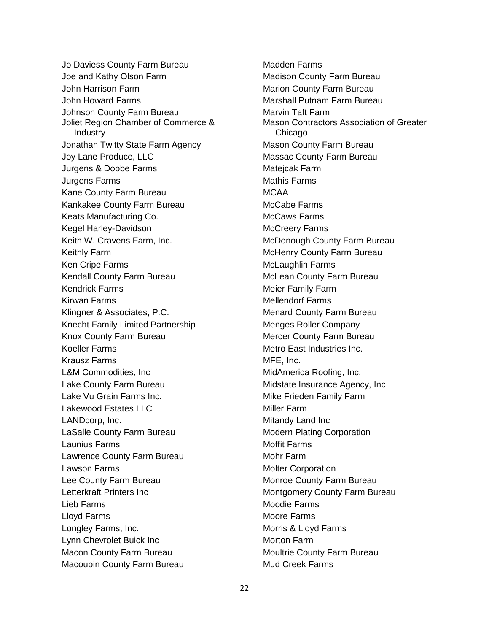Jo Daviess County Farm Bureau Joe and Kathy Olson Farm John Harrison Farm John Howard Farms Johnson County Farm Bureau Joliet Region Chamber of Commerce & Industry Jonathan Twitty State Farm Agency Joy Lane Produce, LLC Jurgens & Dobbe Farms Jurgens Farms Kane County Farm Bureau Kankakee County Farm Bureau Keats Manufacturing Co. Kegel Harley-Davidson Keith W. Cravens Farm, Inc. Keithly Farm Ken Cripe Farms Kendall County Farm Bureau Kendrick Farms Kirwan Farms Klingner & Associates, P.C. Knecht Family Limited Partnership Knox County Farm Bureau Koeller Farms Krausz Farms L&M Commodities, Inc Lake County Farm Bureau Lake Vu Grain Farms Inc. Lakewood Estates LLC LANDcorp, Inc. LaSalle County Farm Bureau Launius Farms Lawrence County Farm Bureau Lawson Farms Lee County Farm Bureau Letterkraft Printers Inc Lieb Farms Lloyd Farms Longley Farms, Inc. Lynn Chevrolet Buick Inc Macon County Farm Bureau Macoupin County Farm Bureau

Madden Farms Madison County Farm Bureau Marion County Farm Bureau Marshall Putnam Farm Bureau Marvin Taft Farm Mason Contractors Association of Greater Chicago Mason County Farm Bureau Massac County Farm Bureau Matejcak Farm Mathis Farms MCAA McCabe Farms McCaws Farms McCreery Farms McDonough County Farm Bureau McHenry County Farm Bureau McLaughlin Farms McLean County Farm Bureau Meier Family Farm Mellendorf Farms Menard County Farm Bureau Menges Roller Company Mercer County Farm Bureau Metro East Industries Inc. MFE, Inc. MidAmerica Roofing, Inc. Midstate Insurance Agency, Inc Mike Frieden Family Farm Miller Farm Mitandy Land Inc Modern Plating Corporation Moffit Farms Mohr Farm Molter Corporation Monroe County Farm Bureau Montgomery County Farm Bureau Moodie Farms Moore Farms Morris & Lloyd Farms Morton Farm Moultrie County Farm Bureau Mud Creek Farms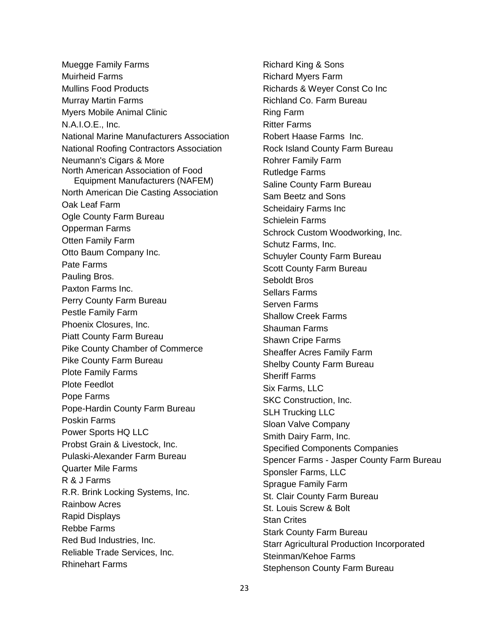Muegge Family Farms Muirheid Farms Mullins Food Products Murray Martin Farms Myers Mobile Animal Clinic N.A.I.O.E., Inc. National Marine Manufacturers Association National Roofing Contractors Association Neumann's Cigars & More North American Association of Food Equipment Manufacturers (NAFEM) North American Die Casting Association Oak Leaf Farm Ogle County Farm Bureau Opperman Farms Otten Family Farm Otto Baum Company Inc. Pate Farms Pauling Bros. Paxton Farms Inc. Perry County Farm Bureau Pestle Family Farm Phoenix Closures, Inc. Piatt County Farm Bureau Pike County Chamber of Commerce Pike County Farm Bureau Plote Family Farms Plote Feedlot Pope Farms Pope-Hardin County Farm Bureau Poskin Farms Power Sports HQ LLC Probst Grain & Livestock, Inc. Pulaski-Alexander Farm Bureau Quarter Mile Farms R & J Farms R.R. Brink Locking Systems, Inc. Rainbow Acres Rapid Displays Rebbe Farms Red Bud Industries, Inc. Reliable Trade Services, Inc. Rhinehart Farms

Richard King & Sons Richard Myers Farm Richards & Weyer Const Co Inc Richland Co. Farm Bureau Ring Farm Ritter Farms Robert Haase Farms Inc. Rock Island County Farm Bureau Rohrer Family Farm Rutledge Farms Saline County Farm Bureau Sam Beetz and Sons Scheidairy Farms Inc Schielein Farms Schrock Custom Woodworking, Inc. Schutz Farms, Inc. Schuyler County Farm Bureau Scott County Farm Bureau Seboldt Bros Sellars Farms Serven Farms Shallow Creek Farms Shauman Farms Shawn Cripe Farms Sheaffer Acres Family Farm Shelby County Farm Bureau Sheriff Farms Six Farms, LLC SKC Construction, Inc. SLH Trucking LLC Sloan Valve Company Smith Dairy Farm, Inc. Specified Components Companies Spencer Farms - Jasper County Farm Bureau Sponsler Farms, LLC Sprague Family Farm St. Clair County Farm Bureau St. Louis Screw & Bolt Stan Crites Stark County Farm Bureau Starr Agricultural Production Incorporated Steinman/Kehoe Farms Stephenson County Farm Bureau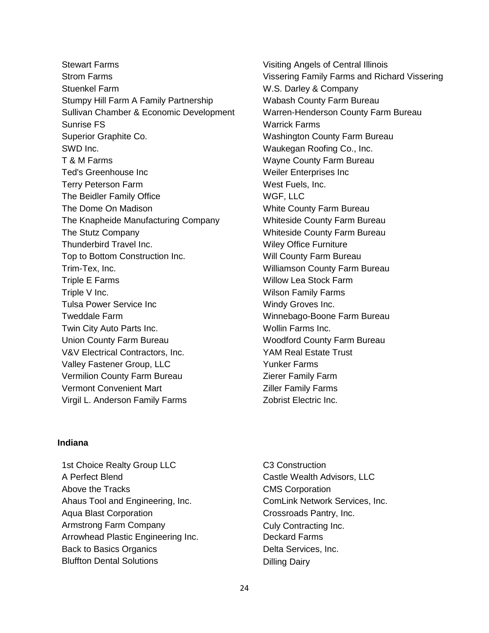Stewart Farms Strom Farms Stuenkel Farm Stumpy Hill Farm A Family Partnership Sullivan Chamber & Economic Development Sunrise FS Superior Graphite Co. SWD Inc. T & M Farms Ted's Greenhouse Inc Terry Peterson Farm The Beidler Family Office The Dome On Madison The Knapheide Manufacturing Company The Stutz Company Thunderbird Travel Inc. Top to Bottom Construction Inc. Trim-Tex, Inc. Triple E Farms Triple V Inc. Tulsa Power Service Inc Tweddale Farm Twin City Auto Parts Inc. Union County Farm Bureau V&V Electrical Contractors, Inc. Valley Fastener Group, LLC Vermilion County Farm Bureau Vermont Convenient Mart Virgil L. Anderson Family Farms

Visiting Angels of Central Illinois Vissering Family Farms and Richard Vissering W.S. Darley & Company Wabash County Farm Bureau Warren-Henderson County Farm Bureau Warrick Farms Washington County Farm Bureau Waukegan Roofing Co., Inc. Wayne County Farm Bureau Weiler Enterprises Inc West Fuels, Inc. WGF, LLC White County Farm Bureau Whiteside County Farm Bureau Whiteside County Farm Bureau Wiley Office Furniture Will County Farm Bureau Williamson County Farm Bureau Willow Lea Stock Farm Wilson Family Farms Windy Groves Inc. Winnebago-Boone Farm Bureau Wollin Farms Inc. Woodford County Farm Bureau YAM Real Estate Trust Yunker Farms Zierer Family Farm Ziller Family Farms Zobrist Electric Inc.

# **Indiana**

1st Choice Realty Group LLC A Perfect Blend Above the Tracks Ahaus Tool and Engineering, Inc. Aqua Blast Corporation Armstrong Farm Company Arrowhead Plastic Engineering Inc. Back to Basics Organics Bluffton Dental Solutions

C3 Construction Castle Wealth Advisors, LLC CMS Corporation ComLink Network Services, Inc. Crossroads Pantry, Inc. Culy Contracting Inc. Deckard Farms Delta Services, Inc. Dilling Dairy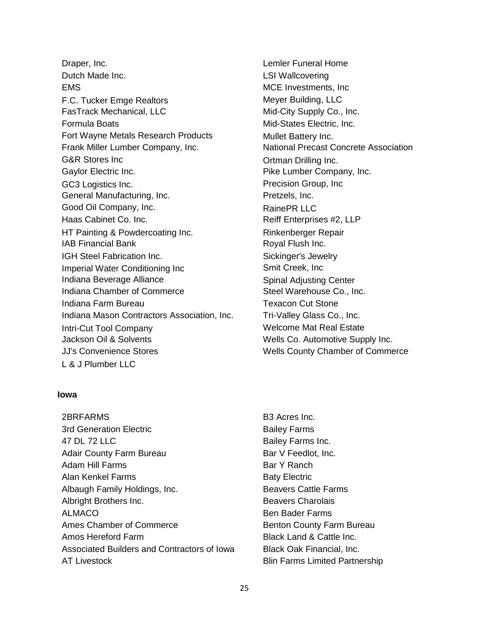Draper, Inc. Dutch Made Inc. **EMS** F.C. Tucker Emge Realtors FasTrack Mechanical, LLC Formula Boats Fort Wayne Metals Research Products Frank Miller Lumber Company, Inc. G&R Stores Inc Gaylor Electric Inc. GC3 Logistics Inc. General Manufacturing, Inc. Good Oil Company, Inc. Haas Cabinet Co. Inc. HT Painting & Powdercoating Inc. IAB Financial Bank IGH Steel Fabrication Inc. Imperial Water Conditioning Inc Indiana Beverage Alliance Indiana Chamber of Commerce Indiana Farm Bureau Indiana Mason Contractors Association, Inc. Intri-Cut Tool Company Jackson Oil & Solvents JJ's Convenience Stores L & J Plumber LLC

# Lemler Funeral Home LSI Wallcovering MCE Investments, Inc Meyer Building, LLC Mid-City Supply Co., Inc. Mid-States Electric, Inc. Mullet Battery Inc. National Precast Concrete Association Ortman Drilling Inc. Pike Lumber Company, Inc. Precision Group, Inc Pretzels, Inc. RainePR LLC Reiff Enterprises #2, LLP Rinkenberger Repair Royal Flush Inc. Sickinger's Jewelry Smit Creek, Inc Spinal Adjusting Center Steel Warehouse Co., Inc. Texacon Cut Stone Tri-Valley Glass Co., Inc. Welcome Mat Real Estate Wells Co. Automotive Supply Inc. Wells County Chamber of Commerce

#### **Iowa**

2BRFARMS 3rd Generation Electric 47 DL 72 LLC Adair County Farm Bureau Adam Hill Farms Alan Kenkel Farms Albaugh Family Holdings, Inc. Albright Brothers Inc. ALMACO Ames Chamber of Commerce Amos Hereford Farm Associated Builders and Contractors of Iowa AT Livestock

B3 Acres Inc. Bailey Farms Bailey Farms Inc. Bar V Feedlot, Inc. Bar Y Ranch Baty Electric Beavers Cattle Farms Beavers Charolais Ben Bader Farms Benton County Farm Bureau Black Land & Cattle Inc. Black Oak Financial, Inc. Blin Farms Limited Partnership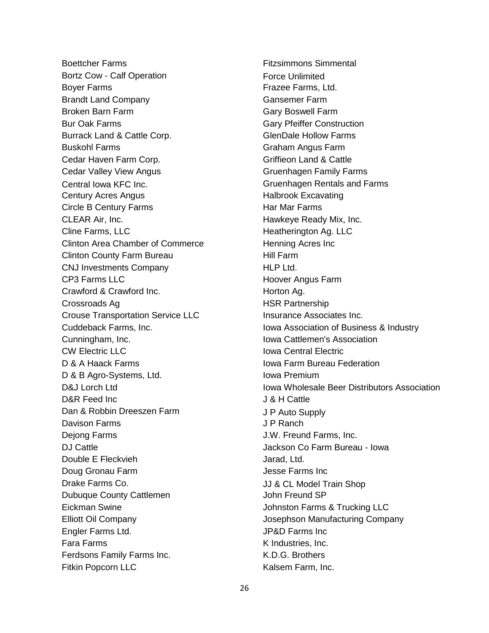Boettcher Farms Bortz Cow - Calf Operation Boyer Farms Brandt Land Company Broken Barn Farm Bur Oak Farms Burrack Land & Cattle Corp. Buskohl Farms Cedar Haven Farm Corp. Cedar Valley View Angus Central Iowa KFC Inc. Century Acres Angus Circle B Century Farms CLEAR Air, Inc. Cline Farms, LLC Clinton Area Chamber of Commerce Clinton County Farm Bureau CNJ Investments Company CP3 Farms LLC Crawford & Crawford Inc. Crossroads Ag Crouse Transportation Service LLC Cuddeback Farms, Inc. Cunningham, Inc. CW Electric LLC D & A Haack Farms D & B Agro-Systems, Ltd. D&J Lorch Ltd D&R Feed Inc Dan & Robbin Dreeszen Farm Davison Farms Dejong Farms DJ Cattle Double E Fleckvieh Doug Gronau Farm Drake Farms Co. Dubuque County Cattlemen Eickman Swine Elliott Oil Company Engler Farms Ltd. Fara Farms Ferdsons Family Farms Inc. Fitkin Popcorn LLC

Fitzsimmons Simmental Force Unlimited Frazee Farms, Ltd. Gansemer Farm Gary Boswell Farm Gary Pfeiffer Construction GlenDale Hollow Farms Graham Angus Farm Griffieon Land & Cattle Gruenhagen Family Farms Gruenhagen Rentals and Farms Halbrook Excavating Har Mar Farms Hawkeye Ready Mix, Inc. Heatherington Ag. LLC Henning Acres Inc Hill Farm HLP Ltd. Hoover Angus Farm Horton Ag. HSR Partnership Insurance Associates Inc. Iowa Association of Business & Industry Iowa Cattlemen's Association Iowa Central Electric Iowa Farm Bureau Federation Iowa Premium Iowa Wholesale Beer Distributors Association J & H Cattle J P Auto Supply J P Ranch J.W. Freund Farms, Inc. Jackson Co Farm Bureau - Iowa Jarad, Ltd. Jesse Farms Inc JJ & CL Model Train Shop John Freund SP Johnston Farms & Trucking LLC Josephson Manufacturing Company JP&D Farms Inc K Industries, Inc. K.D.G. Brothers Kalsem Farm, Inc.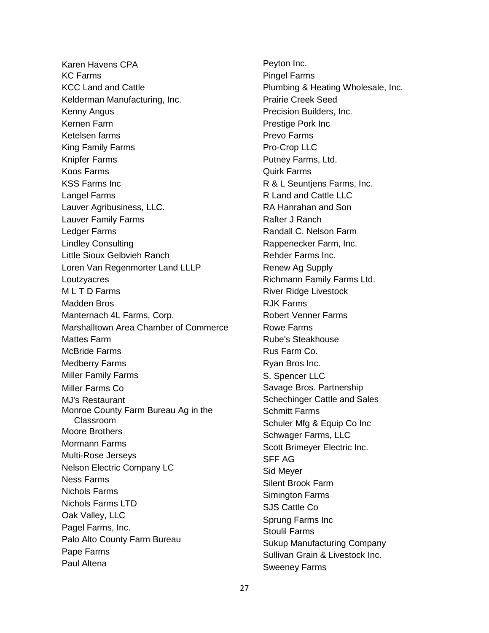Karen Havens CPA KC Farms KCC Land and Cattle Kelderman Manufacturing, Inc. Kenny Angus Kernen Farm Ketelsen farms King Family Farms Knipfer Farms Koos Farms KSS Farms Inc Langel Farms Lauver Agribusiness, LLC. Lauver Family Farms Ledger Farms Lindley Consulting Little Sioux Gelbvieh Ranch Loren Van Regenmorter Land LLLP **Loutzvacres** M L T D Farms Madden Bros Manternach 4L Farms, Corp. Marshalltown Area Chamber of Commerce Mattes Farm McBride Farms Medberry Farms Miller Family Farms Miller Farms Co MJ's Restaurant Monroe County Farm Bureau Ag in the Classroom Moore Brothers Mormann Farms Multi-Rose Jerseys Nelson Electric Company LC Ness Farms Nichols Farms Nichols Farms LTD Oak Valley, LLC Pagel Farms, Inc. Palo Alto County Farm Bureau Pape Farms Paul Altena

Peyton Inc. Pingel Farms Plumbing & Heating Wholesale, Inc. Prairie Creek Seed Precision Builders, Inc. Prestige Pork Inc Prevo Farms Pro-Crop LLC Putney Farms, Ltd. Quirk Farms R & L Seuntjens Farms, Inc. R Land and Cattle LLC RA Hanrahan and Son Rafter J Ranch Randall C. Nelson Farm Rappenecker Farm, Inc. Rehder Farms Inc. Renew Ag Supply Richmann Family Farms Ltd. River Ridge Livestock RJK Farms Robert Venner Farms Rowe Farms Rube's Steakhouse Rus Farm Co. Ryan Bros Inc. S. Spencer LLC Savage Bros. Partnership Schechinger Cattle and Sales Schmitt Farms Schuler Mfg & Equip Co Inc Schwager Farms, LLC Scott Brimeyer Electric Inc. SFF AG Sid Meyer Silent Brook Farm Simington Farms SJS Cattle Co Sprung Farms Inc Stoulil Farms Sukup Manufacturing Company Sullivan Grain & Livestock Inc. Sweeney Farms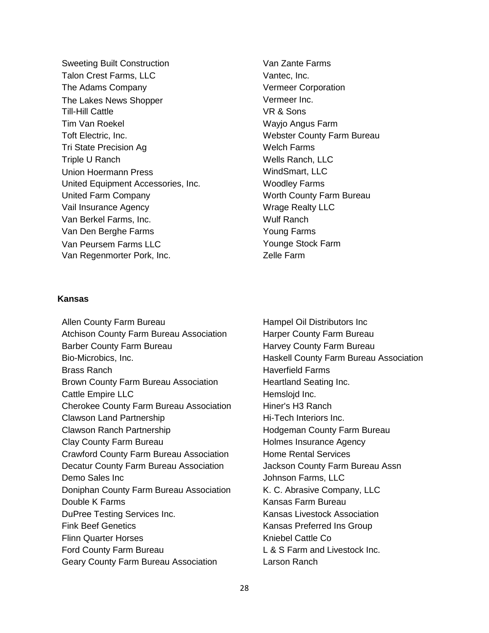Sweeting Built Construction Talon Crest Farms, LLC The Adams Company The Lakes News Shopper Till-Hill Cattle Tim Van Roekel Toft Electric, Inc. Tri State Precision Ag Triple U Ranch Union Hoermann Press United Equipment Accessories, Inc. United Farm Company Vail Insurance Agency Van Berkel Farms, Inc. Van Den Berghe Farms Van Peursem Farms LLC Van Regenmorter Pork, Inc.

Van Zante Farms Vantec, Inc. Vermeer Corporation Vermeer Inc. VR & Sons Wayjo Angus Farm Webster County Farm Bureau Welch Farms Wells Ranch, LLC WindSmart, LLC Woodley Farms Worth County Farm Bureau Wrage Realty LLC Wulf Ranch Young Farms Younge Stock Farm Zelle Farm

# **Kansas**

Allen County Farm Bureau Atchison County Farm Bureau Association Barber County Farm Bureau Bio-Microbics, Inc. Brass Ranch Brown County Farm Bureau Association Cattle Empire LLC Cherokee County Farm Bureau Association Clawson Land Partnership Clawson Ranch Partnership Clay County Farm Bureau Crawford County Farm Bureau Association Decatur County Farm Bureau Association Demo Sales Inc Doniphan County Farm Bureau Association Double K Farms DuPree Testing Services Inc. Fink Beef Genetics Flinn Quarter Horses Ford County Farm Bureau Geary County Farm Bureau Association

Hampel Oil Distributors Inc Harper County Farm Bureau Harvey County Farm Bureau Haskell County Farm Bureau Association Haverfield Farms Heartland Seating Inc. Hemsloid Inc. Hiner's H3 Ranch Hi-Tech Interiors Inc. Hodgeman County Farm Bureau Holmes Insurance Agency Home Rental Services Jackson County Farm Bureau Assn Johnson Farms, LLC K. C. Abrasive Company, LLC Kansas Farm Bureau Kansas Livestock Association Kansas Preferred Ins Group Kniebel Cattle Co L & S Farm and Livestock Inc. Larson Ranch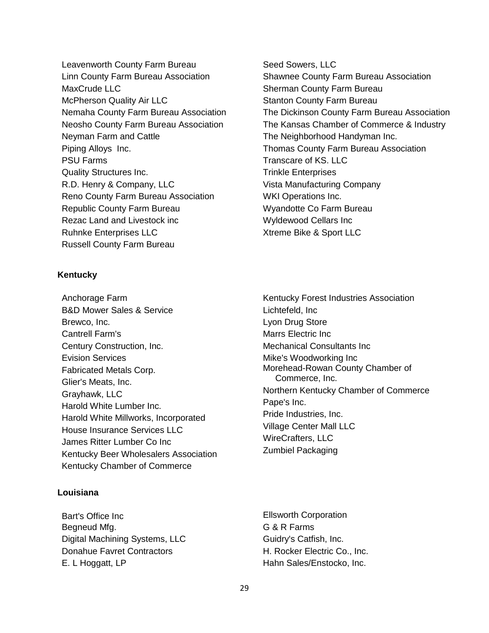Leavenworth County Farm Bureau Linn County Farm Bureau Association MaxCrude LLC McPherson Quality Air LLC Nemaha County Farm Bureau Association Neosho County Farm Bureau Association Neyman Farm and Cattle Piping Alloys Inc. PSU Farms Quality Structures Inc. R.D. Henry & Company, LLC Reno County Farm Bureau Association Republic County Farm Bureau Rezac Land and Livestock inc Ruhnke Enterprises LLC Russell County Farm Bureau

# **Kentucky**

Anchorage Farm B&D Mower Sales & Service Brewco, Inc. Cantrell Farm's Century Construction, Inc. Evision Services Fabricated Metals Corp. Glier's Meats, Inc. Grayhawk, LLC Harold White Lumber Inc. Harold White Millworks, Incorporated House Insurance Services LLC James Ritter Lumber Co Inc Kentucky Beer Wholesalers Association Kentucky Chamber of Commerce

# **Louisiana**

Bart's Office Inc Begneud Mfg. Digital Machining Systems, LLC Donahue Favret Contractors E. L Hoggatt, LP

- Seed Sowers, LLC Shawnee County Farm Bureau Association Sherman County Farm Bureau Stanton County Farm Bureau The Dickinson County Farm Bureau Association The Kansas Chamber of Commerce & Industry The Neighborhood Handyman Inc. Thomas County Farm Bureau Association Transcare of KS. LLC Trinkle Enterprises Vista Manufacturing Company WKI Operations Inc. Wyandotte Co Farm Bureau Wyldewood Cellars Inc Xtreme Bike & Sport LLC
- Kentucky Forest Industries Association Lichtefeld, Inc Lyon Drug Store Marrs Electric Inc Mechanical Consultants Inc Mike's Woodworking Inc Morehead-Rowan County Chamber of Commerce, Inc. Northern Kentucky Chamber of Commerce Pape's Inc. Pride Industries, Inc. Village Center Mall LLC WireCrafters, LLC Zumbiel Packaging
- Ellsworth Corporation G & R Farms Guidry's Catfish, Inc. H. Rocker Electric Co., Inc. Hahn Sales/Enstocko, Inc.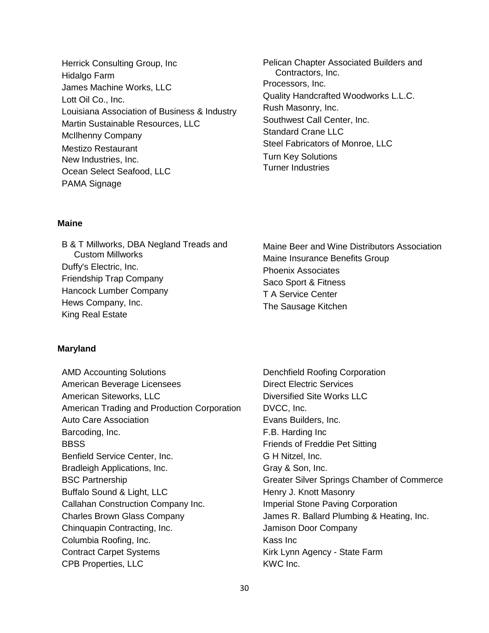- Herrick Consulting Group, Inc Hidalgo Farm James Machine Works, LLC Lott Oil Co., Inc. Louisiana Association of Business & Industry Martin Sustainable Resources, LLC McIlhenny Company Mestizo Restaurant New Industries, Inc. Ocean Select Seafood, LLC PAMA Signage
- Pelican Chapter Associated Builders and Contractors, Inc. Processors, Inc. Quality Handcrafted Woodworks L.L.C. Rush Masonry, Inc. Southwest Call Center, Inc. Standard Crane LLC Steel Fabricators of Monroe, LLC Turn Key Solutions Turner Industries

# **Maine**

B & T Millworks, DBA Negland Treads and Custom Millworks Duffy's Electric, Inc. Friendship Trap Company Hancock Lumber Company Hews Company, Inc. King Real Estate

# Maine Beer and Wine Distributors Association Maine Insurance Benefits Group Phoenix Associates Saco Sport & Fitness T A Service Center The Sausage Kitchen

#### **Maryland**

AMD Accounting Solutions American Beverage Licensees American Siteworks, LLC American Trading and Production Corporation Auto Care Association Barcoding, Inc. **BBSS** Benfield Service Center, Inc. Bradleigh Applications, Inc. BSC Partnership Buffalo Sound & Light, LLC Callahan Construction Company Inc. Charles Brown Glass Company Chinquapin Contracting, Inc. Columbia Roofing, Inc. Contract Carpet Systems CPB Properties, LLC

Denchfield Roofing Corporation Direct Electric Services Diversified Site Works LLC DVCC, Inc. Evans Builders, Inc. F.B. Harding Inc Friends of Freddie Pet Sitting G H Nitzel, Inc. Gray & Son, Inc. Greater Silver Springs Chamber of Commerce Henry J. Knott Masonry Imperial Stone Paving Corporation James R. Ballard Plumbing & Heating, Inc. Jamison Door Company Kass Inc Kirk Lynn Agency - State Farm KWC Inc.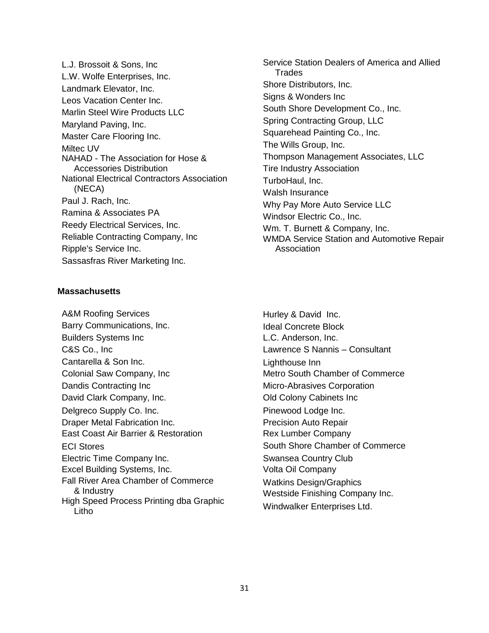L.J. Brossoit & Sons, Inc L.W. Wolfe Enterprises, Inc. Landmark Elevator, Inc. Leos Vacation Center Inc. Marlin Steel Wire Products LLC Maryland Paving, Inc. Master Care Flooring Inc. Miltec UV NAHAD - The Association for Hose & Accessories Distribution National Electrical Contractors Association (NECA) Paul J. Rach, Inc. Ramina & Associates PA Reedy Electrical Services, Inc. Reliable Contracting Company, Inc Ripple's Service Inc. Sassasfras River Marketing Inc.

# **Massachusetts**

A&M Roofing Services Barry Communications, Inc. Builders Systems Inc C&S Co., Inc Cantarella & Son Inc. Colonial Saw Company, Inc Dandis Contracting Inc David Clark Company, Inc. Delgreco Supply Co. Inc. Draper Metal Fabrication Inc. East Coast Air Barrier & Restoration ECI Stores Electric Time Company Inc. Excel Building Systems, Inc. Fall River Area Chamber of Commerce & Industry High Speed Process Printing dba Graphic Litho

- Service Station Dealers of America and Allied Trades Shore Distributors, Inc. Signs & Wonders Inc South Shore Development Co., Inc. Spring Contracting Group, LLC Squarehead Painting Co., Inc. The Wills Group, Inc. Thompson Management Associates, LLC Tire Industry Association TurboHaul, Inc. Walsh Insurance Why Pay More Auto Service LLC Windsor Electric Co., Inc. Wm. T. Burnett & Company, Inc. WMDA Service Station and Automotive Repair Association
- Hurley & David Inc. Ideal Concrete Block L.C. Anderson, Inc. Lawrence S Nannis – Consultant Lighthouse Inn Metro South Chamber of Commerce Micro-Abrasives Corporation Old Colony Cabinets Inc Pinewood Lodge Inc. Precision Auto Repair Rex Lumber Company South Shore Chamber of Commerce Swansea Country Club Volta Oil Company Watkins Design/Graphics Westside Finishing Company Inc. Windwalker Enterprises Ltd.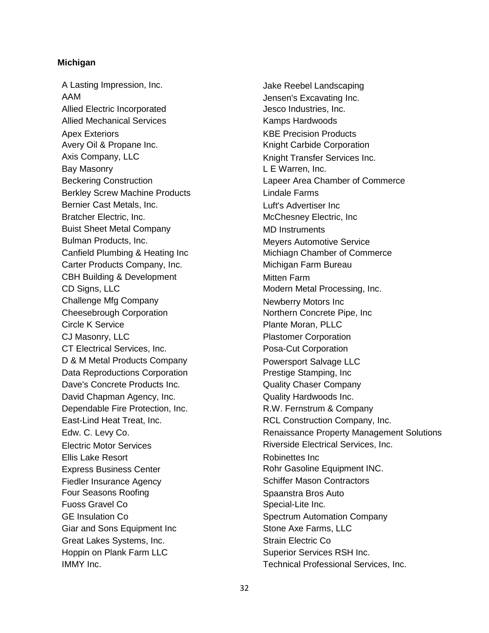# **Michigan**

A Lasting Impression, Inc. AAM Allied Electric Incorporated Allied Mechanical Services Apex Exteriors Avery Oil & Propane Inc. Axis Company, LLC Bay Masonry Beckering Construction Berkley Screw Machine Products Bernier Cast Metals, Inc. Bratcher Electric, Inc. Buist Sheet Metal Company Bulman Products, Inc. Canfield Plumbing & Heating Inc Carter Products Company, Inc. CBH Building & Development CD Signs, LLC Challenge Mfg Company Cheesebrough Corporation Circle K Service CJ Masonry, LLC CT Electrical Services, Inc. D & M Metal Products Company Data Reproductions Corporation Dave's Concrete Products Inc. David Chapman Agency, Inc. Dependable Fire Protection, Inc. East-Lind Heat Treat, Inc. Edw. C. Levy Co. Electric Motor Services Ellis Lake Resort Express Business Center Fiedler Insurance Agency Four Seasons Roofing Fuoss Gravel Co GE Insulation Co Giar and Sons Equipment Inc Great Lakes Systems, Inc. Hoppin on Plank Farm LLC IMMY Inc.

Jake Reebel Landscaping Jensen's Excavating Inc. Jesco Industries, Inc. Kamps Hardwoods KBE Precision Products Knight Carbide Corporation Knight Transfer Services Inc. L E Warren, Inc. Lapeer Area Chamber of Commerce Lindale Farms Luft's Advertiser Inc McChesney Electric, Inc MD Instruments Meyers Automotive Service Michiagn Chamber of Commerce Michigan Farm Bureau Mitten Farm Modern Metal Processing, Inc. Newberry Motors Inc Northern Concrete Pipe, Inc Plante Moran, PLLC Plastomer Corporation Posa-Cut Corporation Powersport Salvage LLC Prestige Stamping, Inc Quality Chaser Company Quality Hardwoods Inc. R.W. Fernstrum & Company RCL Construction Company, Inc. Renaissance Property Management Solutions Riverside Electrical Services, Inc. Robinettes Inc Rohr Gasoline Equipment INC. Schiffer Mason Contractors Spaanstra Bros Auto Special-Lite Inc. Spectrum Automation Company Stone Axe Farms, LLC Strain Electric Co Superior Services RSH Inc. Technical Professional Services, Inc.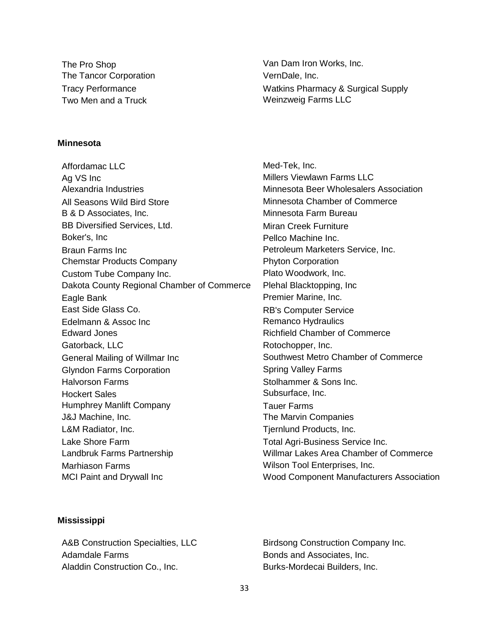The Pro Shop The Tancor Corporation Tracy Performance Two Men and a Truck

Van Dam Iron Works, Inc. VernDale, Inc. Watkins Pharmacy & Surgical Supply Weinzweig Farms LLC

Med-Tek, Inc.

# **Minnesota**

Affordamac LLC Ag VS Inc Alexandria Industries All Seasons Wild Bird Store B & D Associates, Inc. BB Diversified Services, Ltd. Boker's, Inc Braun Farms Inc Chemstar Products Company Custom Tube Company Inc. Dakota County Regional Chamber of Commerce Eagle Bank East Side Glass Co. Edelmann & Assoc Inc Edward Jones Gatorback, LLC General Mailing of Willmar Inc Glyndon Farms Corporation Halvorson Farms Hockert Sales Humphrey Manlift Company J&J Machine, Inc. L&M Radiator, Inc. Lake Shore Farm Landbruk Farms Partnership Marhiason Farms MCI Paint and Drywall Inc

Millers Viewlawn Farms LLC Minnesota Beer Wholesalers Association Minnesota Chamber of Commerce Minnesota Farm Bureau Miran Creek Furniture Pellco Machine Inc. Petroleum Marketers Service, Inc. Phyton Corporation Plato Woodwork, Inc. Plehal Blacktopping, Inc Premier Marine, Inc. RB's Computer Service Remanco Hydraulics Richfield Chamber of Commerce Rotochopper, Inc. Southwest Metro Chamber of Commerce Spring Valley Farms Stolhammer & Sons Inc. Subsurface, Inc. Tauer Farms The Marvin Companies Tjernlund Products, Inc. Total Agri-Business Service Inc. Willmar Lakes Area Chamber of Commerce Wilson Tool Enterprises, Inc. Wood Component Manufacturers Association

#### **Mississippi**

A&B Construction Specialties, LLC Adamdale Farms Aladdin Construction Co., Inc.

Birdsong Construction Company Inc. Bonds and Associates, Inc. Burks-Mordecai Builders, Inc.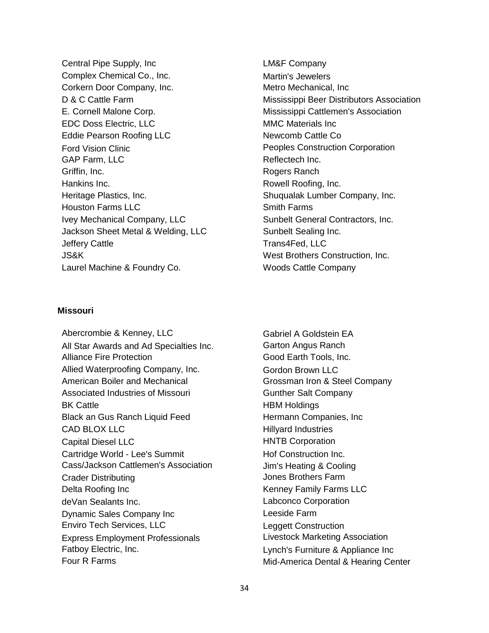Central Pipe Supply, Inc Complex Chemical Co., Inc. Corkern Door Company, Inc. D & C Cattle Farm E. Cornell Malone Corp. EDC Doss Electric, LLC Eddie Pearson Roofing LLC Ford Vision Clinic GAP Farm, LLC Griffin, Inc. Hankins Inc. Heritage Plastics, Inc. Houston Farms LLC Ivey Mechanical Company, LLC Jackson Sheet Metal & Welding, LLC Jeffery Cattle JS&K Laurel Machine & Foundry Co.

# **Missouri**

Abercrombie & Kenney, LLC All Star Awards and Ad Specialties Inc. Alliance Fire Protection Allied Waterproofing Company, Inc. American Boiler and Mechanical Associated Industries of Missouri BK Cattle Black an Gus Ranch Liquid Feed CAD BLOX LLC Capital Diesel LLC Cartridge World - Lee's Summit Cass/Jackson Cattlemen's Association Crader Distributing Delta Roofing Inc deVan Sealants Inc. Dynamic Sales Company Inc Enviro Tech Services, LLC Express Employment Professionals Fatboy Electric, Inc. Four R Farms

LM&F Company Martin's Jewelers Metro Mechanical, Inc Mississippi Beer Distributors Association Mississippi Cattlemen's Association MMC Materials Inc Newcomb Cattle Co Peoples Construction Corporation Reflectech Inc. Rogers Ranch Rowell Roofing, Inc. Shuqualak Lumber Company, Inc. Smith Farms Sunbelt General Contractors, Inc. Sunbelt Sealing Inc. Trans4Fed, LLC West Brothers Construction, Inc. Woods Cattle Company

Gabriel A Goldstein EA Garton Angus Ranch Good Earth Tools, Inc. Gordon Brown LLC Grossman Iron & Steel Company Gunther Salt Company HBM Holdings Hermann Companies, Inc Hillyard Industries HNTB Corporation Hof Construction Inc. Jim's Heating & Cooling Jones Brothers Farm Kenney Family Farms LLC Labconco Corporation Leeside Farm Leggett Construction Livestock Marketing Association Lynch's Furniture & Appliance Inc Mid-America Dental & Hearing Center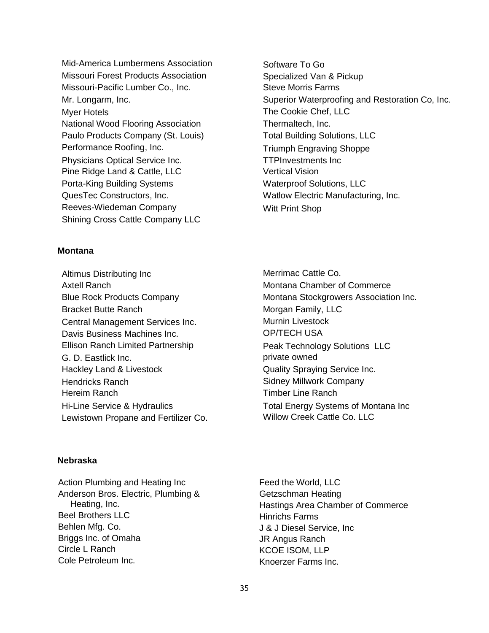Mid-America Lumbermens Association Missouri Forest Products Association Missouri-Pacific Lumber Co., Inc. Mr. Longarm, Inc. Myer Hotels National Wood Flooring Association Paulo Products Company (St. Louis) Performance Roofing, Inc. Physicians Optical Service Inc. Pine Ridge Land & Cattle, LLC Porta-King Building Systems QuesTec Constructors, Inc. Reeves-Wiedeman Company Shining Cross Cattle Company LLC

# **Montana**

Altimus Distributing Inc Axtell Ranch Blue Rock Products Company Bracket Butte Ranch Central Management Services Inc. Davis Business Machines Inc. Ellison Ranch Limited Partnership G. D. Eastlick Inc. Hackley Land & Livestock Hendricks Ranch Hereim Ranch Hi-Line Service & Hydraulics Lewistown Propane and Fertilizer Co. Software To Go Specialized Van & Pickup Steve Morris Farms Superior Waterproofing and Restoration Co, Inc. The Cookie Chef, LLC Thermaltech, Inc. Total Building Solutions, LLC Triumph Engraving Shoppe TTPInvestments Inc Vertical Vision Waterproof Solutions, LLC Watlow Electric Manufacturing, Inc. Witt Print Shop

Merrimac Cattle Co. Montana Chamber of Commerce Montana Stockgrowers Association Inc. Morgan Family, LLC Murnin Livestock OP/TECH USA Peak Technology Solutions LLC private owned Quality Spraying Service Inc. Sidney Millwork Company Timber Line Ranch Total Energy Systems of Montana Inc Willow Creek Cattle Co. LLC

# **Nebraska**

Action Plumbing and Heating Inc Anderson Bros. Electric, Plumbing & Heating, Inc. Beel Brothers LLC Behlen Mfg. Co. Briggs Inc. of Omaha Circle L Ranch Cole Petroleum Inc.

Feed the World, LLC Getzschman Heating Hastings Area Chamber of Commerce Hinrichs Farms J & J Diesel Service, Inc JR Angus Ranch KCOE ISOM, LLP Knoerzer Farms Inc.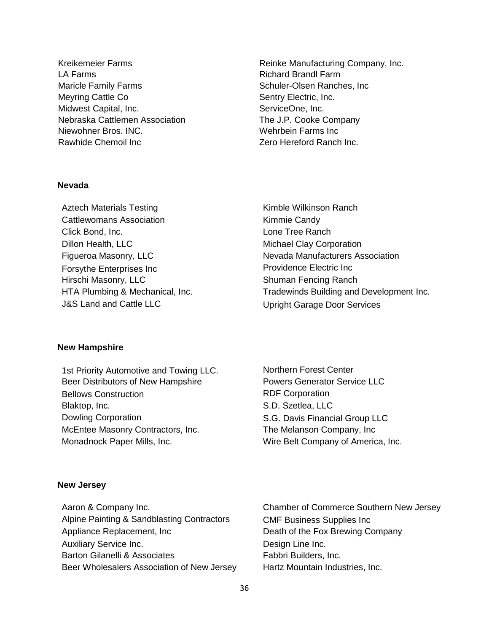Kreikemeier Farms LA Farms Maricle Family Farms Meyring Cattle Co Midwest Capital, Inc. Nebraska Cattlemen Association Niewohner Bros. INC. Rawhide Chemoil Inc

**Nevada**

Aztech Materials Testing Cattlewomans Association Click Bond, Inc. Dillon Health, LLC Figueroa Masonry, LLC Forsythe Enterprises Inc Hirschi Masonry, LLC HTA Plumbing & Mechanical, Inc. J&S Land and Cattle LLC

Reinke Manufacturing Company, Inc. Richard Brandl Farm Schuler-Olsen Ranches, Inc Sentry Electric, Inc. ServiceOne, Inc. The J.P. Cooke Company Wehrbein Farms Inc Zero Hereford Ranch Inc.

Kimble Wilkinson Ranch Kimmie Candy Lone Tree Ranch Michael Clay Corporation Nevada Manufacturers Association Providence Electric Inc Shuman Fencing Ranch Tradewinds Building and Development Inc. Upright Garage Door Services

### **New Hampshire**

1st Priority Automotive and Towing LLC. Beer Distributors of New Hampshire Bellows Construction Blaktop, Inc. Dowling Corporation McEntee Masonry Contractors, Inc. Monadnock Paper Mills, Inc.

Northern Forest Center Powers Generator Service LLC RDF Corporation S.D. Szetlea, LLC S.G. Davis Financial Group LLC The Melanson Company, Inc Wire Belt Company of America, Inc.

#### **New Jersey**

Aaron & Company Inc. Alpine Painting & Sandblasting Contractors Appliance Replacement, Inc Auxiliary Service Inc. Barton Gilanelli & Associates Beer Wholesalers Association of New Jersey Chamber of Commerce Southern New Jersey CMF Business Supplies Inc Death of the Fox Brewing Company Design Line Inc. Fabbri Builders, Inc. Hartz Mountain Industries, Inc.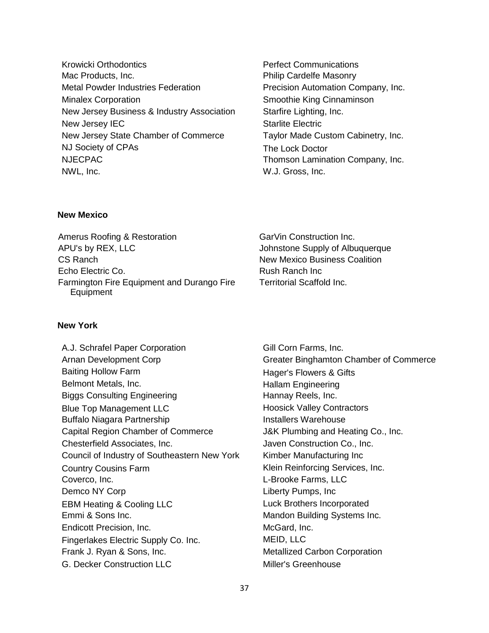- Krowicki Orthodontics Mac Products, Inc. Metal Powder Industries Federation Minalex Corporation New Jersey Business & Industry Association New Jersey IEC New Jersey State Chamber of Commerce NJ Society of CPAs NJECPAC NWL, Inc.
- Perfect Communications Philip Cardelfe Masonry Precision Automation Company, Inc. Smoothie King Cinnaminson Starfire Lighting, Inc. Starlite Electric Taylor Made Custom Cabinetry, Inc. The Lock Doctor Thomson Lamination Company, Inc. W.J. Gross, Inc.

# **New Mexico**

Amerus Roofing & Restoration APU's by REX, LLC CS Ranch Echo Electric Co. Farmington Fire Equipment and Durango Fire Equipment

**New York**

A.J. Schrafel Paper Corporation Arnan Development Corp Baiting Hollow Farm Belmont Metals, Inc. Biggs Consulting Engineering Blue Top Management LLC Buffalo Niagara Partnership Capital Region Chamber of Commerce Chesterfield Associates, Inc. Council of Industry of Southeastern New York Country Cousins Farm Coverco, Inc. Demco NY Corp EBM Heating & Cooling LLC Emmi & Sons Inc. Endicott Precision, Inc. Fingerlakes Electric Supply Co. Inc. Frank J. Ryan & Sons, Inc. G. Decker Construction LLC

GarVin Construction Inc. Johnstone Supply of Albuquerque New Mexico Business Coalition Rush Ranch Inc Territorial Scaffold Inc.

Gill Corn Farms, Inc. Greater Binghamton Chamber of Commerce Hager's Flowers & Gifts Hallam Engineering Hannay Reels, Inc. Hoosick Valley Contractors Installers Warehouse J&K Plumbing and Heating Co., Inc. Javen Construction Co., Inc. Kimber Manufacturing Inc Klein Reinforcing Services, Inc. L-Brooke Farms, LLC Liberty Pumps, Inc Luck Brothers Incorporated Mandon Building Systems Inc. McGard, Inc. MEID, LLC Metallized Carbon Corporation Miller's Greenhouse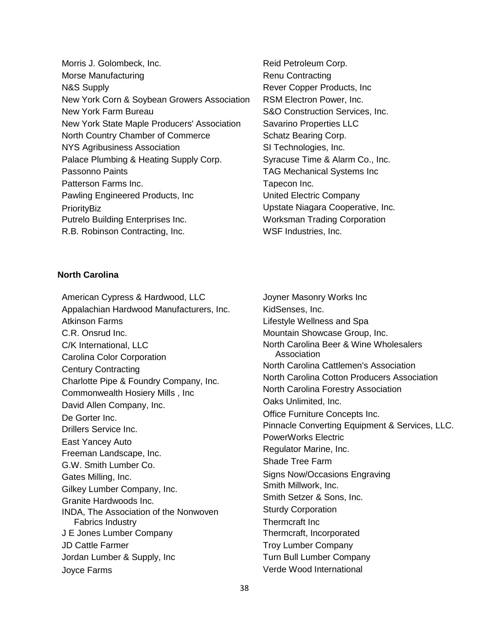- Morris J. Golombeck, Inc. Morse Manufacturing N&S Supply New York Corn & Soybean Growers Association New York Farm Bureau New York State Maple Producers' Association North Country Chamber of Commerce NYS Agribusiness Association Palace Plumbing & Heating Supply Corp. Passonno Paints Patterson Farms Inc. Pawling Engineered Products, Inc **PrioritvBiz** Putrelo Building Enterprises Inc. R.B. Robinson Contracting, Inc.
- Reid Petroleum Corp. Renu Contracting Rever Copper Products, Inc RSM Electron Power, Inc. S&O Construction Services, Inc. Savarino Properties LLC Schatz Bearing Corp. SI Technologies, Inc. Syracuse Time & Alarm Co., Inc. TAG Mechanical Systems Inc Tapecon Inc. United Electric Company Upstate Niagara Cooperative, Inc. Worksman Trading Corporation WSF Industries, Inc.

# **North Carolina**

American Cypress & Hardwood, LLC Appalachian Hardwood Manufacturers, Inc. Atkinson Farms C.R. Onsrud Inc. C/K International, LLC Carolina Color Corporation Century Contracting Charlotte Pipe & Foundry Company, Inc. Commonwealth Hosiery Mills , Inc David Allen Company, Inc. De Gorter Inc. Drillers Service Inc. East Yancey Auto Freeman Landscape, Inc. G.W. Smith Lumber Co. Gates Milling, Inc. Gilkey Lumber Company, Inc. Granite Hardwoods Inc. INDA, The Association of the Nonwoven Fabrics Industry J E Jones Lumber Company JD Cattle Farmer Jordan Lumber & Supply, Inc Joyce Farms

Joyner Masonry Works Inc KidSenses, Inc. Lifestyle Wellness and Spa Mountain Showcase Group, Inc. North Carolina Beer & Wine Wholesalers Association North Carolina Cattlemen's Association North Carolina Cotton Producers Association North Carolina Forestry Association Oaks Unlimited, Inc. Office Furniture Concepts Inc. Pinnacle Converting Equipment & Services, LLC. PowerWorks Electric Regulator Marine, Inc. Shade Tree Farm Signs Now/Occasions Engraving Smith Millwork, Inc. Smith Setzer & Sons, Inc. Sturdy Corporation Thermcraft Inc Thermcraft, Incorporated Troy Lumber Company Turn Bull Lumber Company Verde Wood International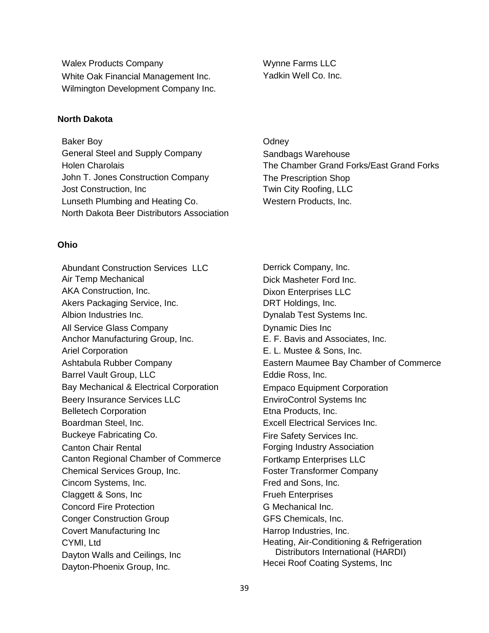Walex Products Company White Oak Financial Management Inc. Wilmington Development Company Inc.

**North Dakota**

Baker Boy General Steel and Supply Company Holen Charolais John T. Jones Construction Company Jost Construction, Inc Lunseth Plumbing and Heating Co. North Dakota Beer Distributors Association

**Ohio**

Abundant Construction Services LLC Air Temp Mechanical AKA Construction, Inc. Akers Packaging Service, Inc. Albion Industries Inc. All Service Glass Company Anchor Manufacturing Group, Inc. Ariel Corporation Ashtabula Rubber Company Barrel Vault Group, LLC Bay Mechanical & Electrical Corporation Beery Insurance Services LLC Belletech Corporation Boardman Steel, Inc. Buckeye Fabricating Co. Canton Chair Rental Canton Regional Chamber of Commerce Chemical Services Group, Inc. Cincom Systems, Inc. Claggett & Sons, Inc Concord Fire Protection Conger Construction Group Covert Manufacturing Inc CYMI, Ltd Dayton Walls and Ceilings, Inc Dayton-Phoenix Group, Inc.

Wynne Farms LLC Yadkin Well Co. Inc.

**Odney** Sandbags Warehouse The Chamber Grand Forks/East Grand Forks The Prescription Shop Twin City Roofing, LLC Western Products, Inc.

Derrick Company, Inc. Dick Masheter Ford Inc. Dixon Enterprises LLC DRT Holdings, Inc. Dynalab Test Systems Inc. Dynamic Dies Inc E. F. Bavis and Associates, Inc. E. L. Mustee & Sons, Inc. Eastern Maumee Bay Chamber of Commerce Eddie Ross, Inc. Empaco Equipment Corporation EnviroControl Systems Inc Etna Products, Inc. Excell Electrical Services Inc. Fire Safety Services Inc. Forging Industry Association Fortkamp Enterprises LLC Foster Transformer Company Fred and Sons, Inc. Frueh Enterprises G Mechanical Inc. GFS Chemicals, Inc. Harrop Industries, Inc. Heating, Air-Conditioning & Refrigeration Distributors International (HARDI) Hecei Roof Coating Systems, Inc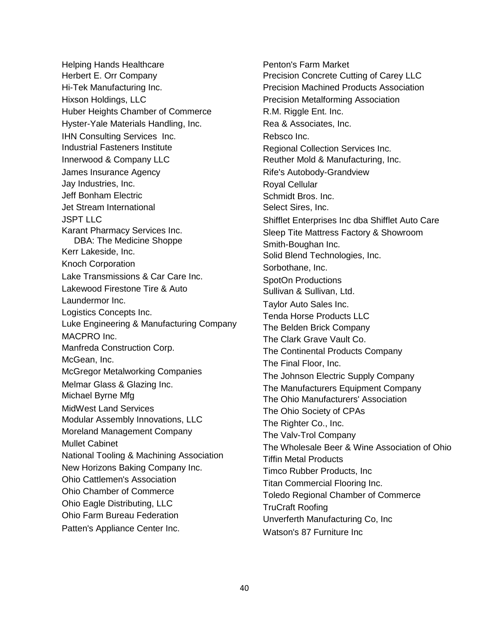Helping Hands Healthcare Herbert E. Orr Company Hi-Tek Manufacturing Inc. Hixson Holdings, LLC Huber Heights Chamber of Commerce Hyster-Yale Materials Handling, Inc. IHN Consulting Services Inc. Industrial Fasteners Institute Innerwood & Company LLC James Insurance Agency Jay Industries, Inc. Jeff Bonham Electric Jet Stream International JSPT LLC Karant Pharmacy Services Inc. DBA: The Medicine Shoppe Kerr Lakeside, Inc. Knoch Corporation Lake Transmissions & Car Care Inc. Lakewood Firestone Tire & Auto Laundermor Inc. Logistics Concepts Inc. Luke Engineering & Manufacturing Company MACPRO Inc. Manfreda Construction Corp. McGean, Inc. McGregor Metalworking Companies Melmar Glass & Glazing Inc. Michael Byrne Mfg MidWest Land Services Modular Assembly Innovations, LLC Moreland Management Company Mullet Cabinet National Tooling & Machining Association New Horizons Baking Company Inc. Ohio Cattlemen's Association Ohio Chamber of Commerce Ohio Eagle Distributing, LLC Ohio Farm Bureau Federation Patten's Appliance Center Inc.

Penton's Farm Market Precision Concrete Cutting of Carey LLC Precision Machined Products Association Precision Metalforming Association R.M. Riggle Ent. Inc. Rea & Associates, Inc. Rebsco Inc. Regional Collection Services Inc. Reuther Mold & Manufacturing, Inc. Rife's Autobody-Grandview Royal Cellular Schmidt Bros. Inc. Select Sires, Inc. Shifflet Enterprises Inc dba Shifflet Auto Care Sleep Tite Mattress Factory & Showroom Smith-Boughan Inc. Solid Blend Technologies, Inc. Sorbothane, Inc. SpotOn Productions Sullivan & Sullivan, Ltd. Taylor Auto Sales Inc. Tenda Horse Products LLC The Belden Brick Company The Clark Grave Vault Co. The Continental Products Company The Final Floor, Inc. The Johnson Electric Supply Company The Manufacturers Equipment Company The Ohio Manufacturers' Association The Ohio Society of CPAs The Righter Co., Inc. The Valv-Trol Company The Wholesale Beer & Wine Association of Ohio Tiffin Metal Products Timco Rubber Products, Inc Titan Commercial Flooring Inc. Toledo Regional Chamber of Commerce TruCraft Roofing Unverferth Manufacturing Co, Inc Watson's 87 Furniture Inc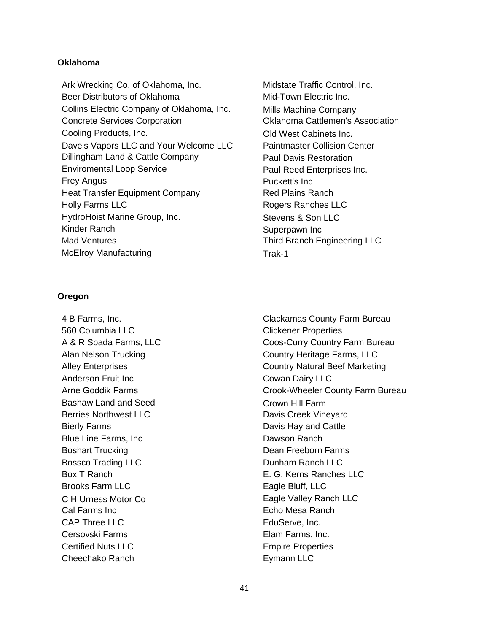# **Oklahoma**

Ark Wrecking Co. of Oklahoma, Inc. Beer Distributors of Oklahoma Collins Electric Company of Oklahoma, Inc. Concrete Services Corporation Cooling Products, Inc. Dave's Vapors LLC and Your Welcome LLC Dillingham Land & Cattle Company Enviromental Loop Service Frey Angus Heat Transfer Equipment Company Holly Farms LLC HydroHoist Marine Group, Inc. Kinder Ranch Mad Ventures McElroy Manufacturing

# **Oregon**

4 B Farms, Inc. 560 Columbia LLC A & R Spada Farms, LLC Alan Nelson Trucking Alley Enterprises Anderson Fruit Inc Arne Goddik Farms Bashaw Land and Seed Berries Northwest LLC Bierly Farms Blue Line Farms, Inc Boshart Trucking Bossco Trading LLC Box T Ranch Brooks Farm LLC C H Urness Motor Co Cal Farms Inc CAP Three LLC Cersovski Farms Certified Nuts LLC Cheechako Ranch

Midstate Traffic Control, Inc. Mid-Town Electric Inc. Mills Machine Company Oklahoma Cattlemen's Association Old West Cabinets Inc. Paintmaster Collision Center Paul Davis Restoration Paul Reed Enterprises Inc. Puckett's Inc Red Plains Ranch Rogers Ranches LLC Stevens & Son LLC Superpawn Inc Third Branch Engineering LLC Trak-1

Clackamas County Farm Bureau Clickener Properties Coos-Curry Country Farm Bureau Country Heritage Farms, LLC Country Natural Beef Marketing Cowan Dairy LLC Crook-Wheeler County Farm Bureau Crown Hill Farm Davis Creek Vineyard Davis Hay and Cattle Dawson Ranch Dean Freeborn Farms Dunham Ranch LLC E. G. Kerns Ranches LLC Eagle Bluff, LLC Eagle Valley Ranch LLC Echo Mesa Ranch EduServe, Inc. Elam Farms, Inc. Empire Properties Eymann LLC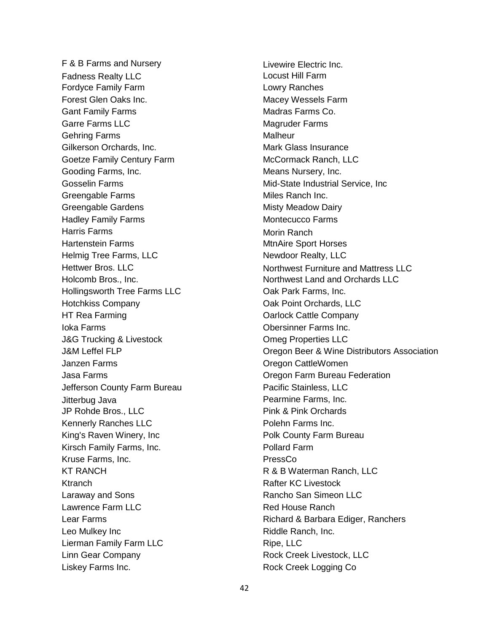F & B Farms and Nursery Fadness Realty LLC Fordyce Family Farm Forest Glen Oaks Inc. Gant Family Farms Garre Farms LLC Gehring Farms Gilkerson Orchards, Inc. Goetze Family Century Farm Gooding Farms, Inc. Gosselin Farms Greengable Farms Greengable Gardens Hadley Family Farms Harris Farms Hartenstein Farms Helmig Tree Farms, LLC Hettwer Bros. LLC Holcomb Bros., Inc. Hollingsworth Tree Farms LLC Hotchkiss Company HT Rea Farming Ioka Farms J&G Trucking & Livestock J&M Leffel FLP Janzen Farms Jasa Farms Jefferson County Farm Bureau Jitterbug Java JP Rohde Bros., LLC Kennerly Ranches LLC King's Raven Winery, Inc Kirsch Family Farms, Inc. Kruse Farms, Inc. KT RANCH **Ktranch** Laraway and Sons Lawrence Farm LLC Lear Farms Leo Mulkey Inc Lierman Family Farm LLC Linn Gear Company Liskey Farms Inc.

Livewire Electric Inc. Locust Hill Farm Lowry Ranches Macey Wessels Farm Madras Farms Co. Magruder Farms Malheur Mark Glass Insurance McCormack Ranch, LLC Means Nursery, Inc. Mid-State Industrial Service, Inc Miles Ranch Inc. Misty Meadow Dairy Montecucco Farms Morin Ranch MtnAire Sport Horses Newdoor Realty, LLC Northwest Furniture and Mattress LLC Northwest Land and Orchards LLC Oak Park Farms, Inc. Oak Point Orchards, LLC Oarlock Cattle Company Obersinner Farms Inc. Omeg Properties LLC Oregon Beer & Wine Distributors Association Oregon CattleWomen Oregon Farm Bureau Federation Pacific Stainless, LLC Pearmine Farms, Inc. Pink & Pink Orchards Polehn Farms Inc. Polk County Farm Bureau Pollard Farm PressCo R & B Waterman Ranch, LLC Rafter KC Livestock Rancho San Simeon LLC Red House Ranch Richard & Barbara Ediger, Ranchers Riddle Ranch, Inc. Ripe, LLC Rock Creek Livestock, LLC Rock Creek Logging Co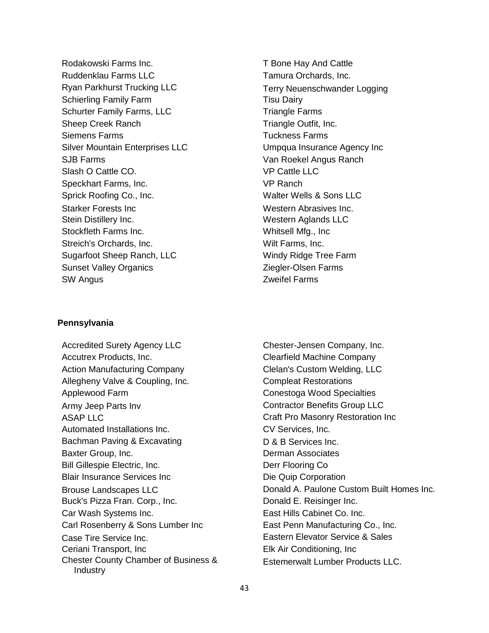Rodakowski Farms Inc. Ruddenklau Farms LLC Ryan Parkhurst Trucking LLC Schierling Family Farm Schurter Family Farms, LLC Sheep Creek Ranch Siemens Farms Silver Mountain Enterprises LLC SJB Farms Slash O Cattle CO. Speckhart Farms, Inc. Sprick Roofing Co., Inc. Starker Forests Inc Stein Distillery Inc. Stockfleth Farms Inc. Streich's Orchards, Inc. Sugarfoot Sheep Ranch, LLC Sunset Valley Organics SW Angus

# **Pennsylvania**

Accredited Surety Agency LLC Accutrex Products, Inc. Action Manufacturing Company Allegheny Valve & Coupling, Inc. Applewood Farm Army Jeep Parts Inv ASAP LLC Automated Installations Inc. Bachman Paving & Excavating Baxter Group, Inc. Bill Gillespie Electric, Inc. Blair Insurance Services Inc Brouse Landscapes LLC Buck's Pizza Fran. Corp., Inc. Car Wash Systems Inc. Carl Rosenberry & Sons Lumber Inc Case Tire Service Inc. Ceriani Transport, Inc Chester County Chamber of Business & Industry

T Bone Hay And Cattle Tamura Orchards, Inc. Terry Neuenschwander Logging Tisu Dairy Triangle Farms Triangle Outfit, Inc. Tuckness Farms Umpqua Insurance Agency Inc Van Roekel Angus Ranch VP Cattle LLC VP Ranch Walter Wells & Sons LLC Western Abrasives Inc. Western Aglands LLC Whitsell Mfg., Inc Wilt Farms, Inc. Windy Ridge Tree Farm Ziegler-Olsen Farms Zweifel Farms

Chester-Jensen Company, Inc. Clearfield Machine Company Clelan's Custom Welding, LLC Compleat Restorations Conestoga Wood Specialties Contractor Benefits Group LLC Craft Pro Masonry Restoration Inc CV Services, Inc. D & B Services Inc. Derman Associates Derr Flooring Co Die Quip Corporation Donald A. Paulone Custom Built Homes Inc. Donald E. Reisinger Inc. East Hills Cabinet Co. Inc. East Penn Manufacturing Co., Inc. Eastern Elevator Service & Sales Elk Air Conditioning, Inc Estemerwalt Lumber Products LLC.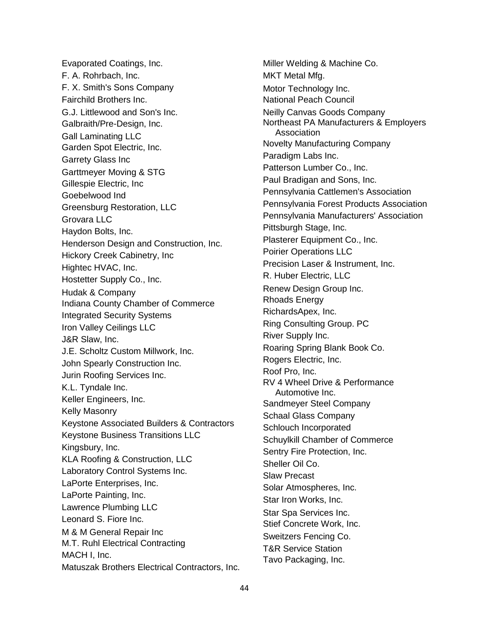Evaporated Coatings, Inc. F. A. Rohrbach, Inc. F. X. Smith's Sons Company Fairchild Brothers Inc. G.J. Littlewood and Son's Inc. Galbraith/Pre-Design, Inc. Gall Laminating LLC Garden Spot Electric, Inc. Garrety Glass Inc Garttmeyer Moving & STG Gillespie Electric, Inc Goebelwood Ind Greensburg Restoration, LLC Grovara LLC Haydon Bolts, Inc. Henderson Design and Construction, Inc. Hickory Creek Cabinetry, Inc Hightec HVAC, Inc. Hostetter Supply Co., Inc. Hudak & Company Indiana County Chamber of Commerce Integrated Security Systems Iron Valley Ceilings LLC J&R Slaw, Inc. J.E. Scholtz Custom Millwork, Inc. John Spearly Construction Inc. Jurin Roofing Services Inc. K.L. Tyndale Inc. Keller Engineers, Inc. Kelly Masonry Keystone Associated Builders & Contractors Keystone Business Transitions LLC Kingsbury, Inc. KLA Roofing & Construction, LLC Laboratory Control Systems Inc. LaPorte Enterprises, Inc. LaPorte Painting, Inc. Lawrence Plumbing LLC Leonard S. Fiore Inc. M & M General Repair Inc M.T. Ruhl Electrical Contracting MACH I, Inc. Matuszak Brothers Electrical Contractors, Inc. Miller Welding & Machine Co. MKT Metal Mfg. Motor Technology Inc. National Peach Council Neilly Canvas Goods Company Northeast PA Manufacturers & Employers Association Novelty Manufacturing Company Paradigm Labs Inc. Patterson Lumber Co., Inc. Paul Bradigan and Sons, Inc. Pennsylvania Cattlemen's Association Pennsylvania Forest Products Association Pennsylvania Manufacturers' Association Pittsburgh Stage, Inc. Plasterer Equipment Co., Inc. Poirier Operations LLC Precision Laser & Instrument, Inc. R. Huber Electric, LLC Renew Design Group Inc. Rhoads Energy RichardsApex, Inc. Ring Consulting Group. PC River Supply Inc. Roaring Spring Blank Book Co. Rogers Electric, Inc. Roof Pro, Inc. RV 4 Wheel Drive & Performance Automotive Inc. Sandmeyer Steel Company Schaal Glass Company Schlouch Incorporated Schuylkill Chamber of Commerce Sentry Fire Protection, Inc. Sheller Oil Co. Slaw Precast Solar Atmospheres, Inc. Star Iron Works, Inc. Star Spa Services Inc. Stief Concrete Work, Inc. Sweitzers Fencing Co. T&R Service Station Tavo Packaging, Inc.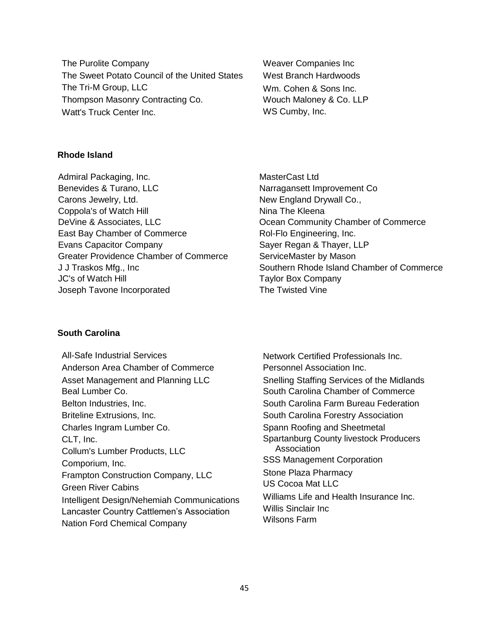The Purolite Company The Sweet Potato Council of the United States The Tri-M Group, LLC Thompson Masonry Contracting Co. Watt's Truck Center Inc.

Weaver Companies Inc West Branch Hardwoods Wm. Cohen & Sons Inc. Wouch Maloney & Co. LLP WS Cumby, Inc.

# **Rhode Island**

Admiral Packaging, Inc. Benevides & Turano, LLC Carons Jewelry, Ltd. Coppola's of Watch Hill DeVine & Associates, LLC East Bay Chamber of Commerce Evans Capacitor Company Greater Providence Chamber of Commerce J J Traskos Mfg., Inc JC's of Watch Hill Joseph Tavone Incorporated

MasterCast Ltd Narragansett Improvement Co New England Drywall Co., Nina The Kleena Ocean Community Chamber of Commerce Rol-Flo Engineering, Inc. Sayer Regan & Thayer, LLP ServiceMaster by Mason Southern Rhode Island Chamber of Commerce Taylor Box Company The Twisted Vine

# **South Carolina**

All-Safe Industrial Services Anderson Area Chamber of Commerce Asset Management and Planning LLC Beal Lumber Co. Belton Industries, Inc. Briteline Extrusions, Inc. Charles Ingram Lumber Co. CLT, Inc. Collum's Lumber Products, LLC Comporium, Inc. Frampton Construction Company, LLC Green River Cabins Intelligent Design/Nehemiah Communications Lancaster Country Cattlemen's Association Nation Ford Chemical Company

Network Certified Professionals Inc. Personnel Association Inc. Snelling Staffing Services of the Midlands South Carolina Chamber of Commerce South Carolina Farm Bureau Federation South Carolina Forestry Association Spann Roofing and Sheetmetal Spartanburg County livestock Producers Association SSS Management Corporation Stone Plaza Pharmacy US Cocoa Mat LLC Williams Life and Health Insurance Inc. Willis Sinclair Inc Wilsons Farm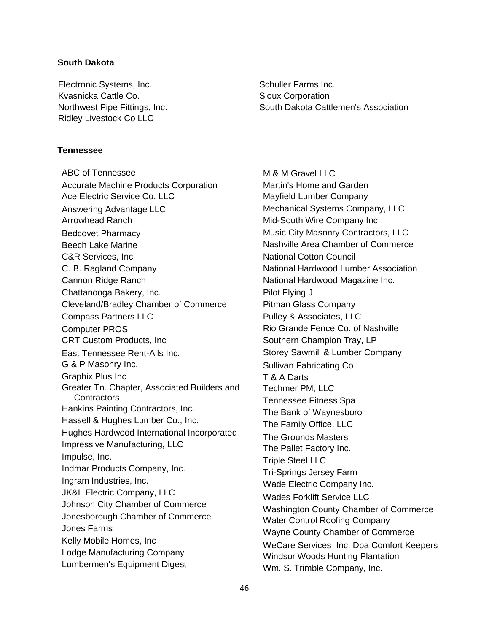# **South Dakota**

Electronic Systems, Inc. Kvasnicka Cattle Co. Northwest Pipe Fittings, Inc. Ridley Livestock Co LLC

# **Tennessee**

ABC of Tennessee Accurate Machine Products Corporation Ace Electric Service Co. LLC Answering Advantage LLC Arrowhead Ranch Bedcovet Pharmacy Beech Lake Marine C&R Services, Inc C. B. Ragland Company Cannon Ridge Ranch Chattanooga Bakery, Inc. Cleveland/Bradley Chamber of Commerce Compass Partners LLC Computer PROS CRT Custom Products, Inc East Tennessee Rent-Alls Inc. G & P Masonry Inc. Graphix Plus Inc Greater Tn. Chapter, Associated Builders and **Contractors** Hankins Painting Contractors, Inc. Hassell & Hughes Lumber Co., Inc. Hughes Hardwood International Incorporated Impressive Manufacturing, LLC Impulse, Inc. Indmar Products Company, Inc. Ingram Industries, Inc. JK&L Electric Company, LLC Johnson City Chamber of Commerce Jonesborough Chamber of Commerce Jones Farms Kelly Mobile Homes, Inc Lodge Manufacturing Company Lumbermen's Equipment Digest

Schuller Farms Inc. Sioux Corporation South Dakota Cattlemen's Association

M & M Gravel LLC Martin's Home and Garden Mayfield Lumber Company Mechanical Systems Company, LLC Mid-South Wire Company Inc Music City Masonry Contractors, LLC Nashville Area Chamber of Commerce National Cotton Council National Hardwood Lumber Association National Hardwood Magazine Inc. Pilot Flying J Pitman Glass Company Pulley & Associates, LLC Rio Grande Fence Co. of Nashville Southern Champion Tray, LP Storey Sawmill & Lumber Company Sullivan Fabricating Co T & A Darts Techmer PM, LLC Tennessee Fitness Spa The Bank of Waynesboro The Family Office, LLC The Grounds Masters The Pallet Factory Inc. Triple Steel LLC Tri-Springs Jersey Farm Wade Electric Company Inc. Wades Forklift Service LLC Washington County Chamber of Commerce Water Control Roofing Company Wayne County Chamber of Commerce WeCare Services Inc. Dba Comfort Keepers Windsor Woods Hunting Plantation Wm. S. Trimble Company, Inc.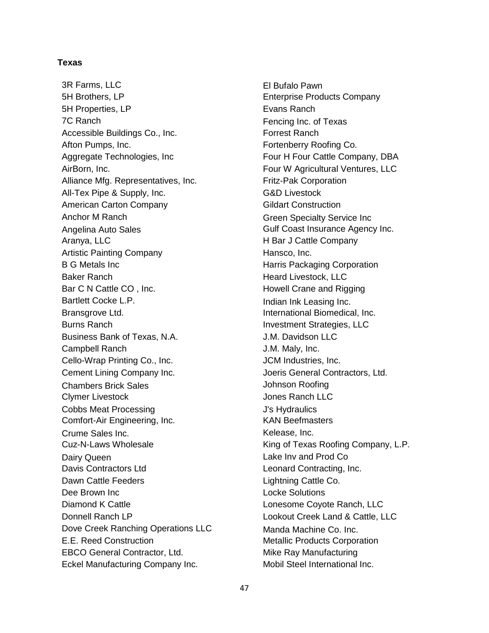# **Texas**

3R Farms, LLC 5H Brothers, LP 5H Properties, LP 7C Ranch Accessible Buildings Co., Inc. Afton Pumps, Inc. Aggregate Technologies, Inc AirBorn, Inc. Alliance Mfg. Representatives, Inc. All-Tex Pipe & Supply, Inc. American Carton Company Anchor M Ranch Angelina Auto Sales Aranya, LLC Artistic Painting Company B G Metals Inc Baker Ranch Bar C N Cattle CO , Inc. Bartlett Cocke L.P. Bransgrove Ltd. Burns Ranch Business Bank of Texas, N.A. Campbell Ranch Cello-Wrap Printing Co., Inc. Cement Lining Company Inc. Chambers Brick Sales Clymer Livestock Cobbs Meat Processing Comfort-Air Engineering, Inc. Crume Sales Inc. Cuz-N-Laws Wholesale Dairy Queen Davis Contractors Ltd Dawn Cattle Feeders Dee Brown Inc Diamond K Cattle Donnell Ranch LP Dove Creek Ranching Operations LLC E.E. Reed Construction EBCO General Contractor, Ltd. Eckel Manufacturing Company Inc.

El Bufalo Pawn Enterprise Products Company Evans Ranch Fencing Inc. of Texas Forrest Ranch Fortenberry Roofing Co. Four H Four Cattle Company, DBA Four W Agricultural Ventures, LLC Fritz-Pak Corporation G&D Livestock Gildart Construction Green Specialty Service Inc Gulf Coast Insurance Agency Inc. H Bar J Cattle Company Hansco, Inc. Harris Packaging Corporation Heard Livestock, LLC Howell Crane and Rigging Indian Ink Leasing Inc. International Biomedical, Inc. Investment Strategies, LLC J.M. Davidson LLC J.M. Maly, Inc. JCM Industries, Inc. Joeris General Contractors, Ltd. Johnson Roofing Jones Ranch LLC J's Hydraulics KAN Beefmasters Kelease, Inc. King of Texas Roofing Company, L.P. Lake Inv and Prod Co Leonard Contracting, Inc. Lightning Cattle Co. Locke Solutions Lonesome Coyote Ranch, LLC Lookout Creek Land & Cattle, LLC Manda Machine Co. Inc. Metallic Products Corporation Mike Ray Manufacturing Mobil Steel International Inc.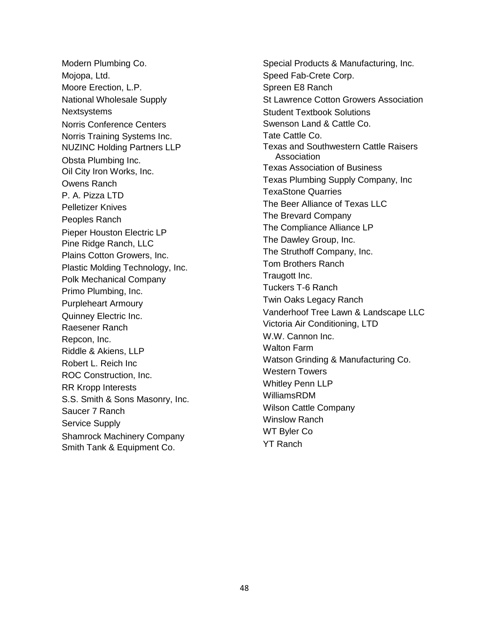Modern Plumbing Co. Mojopa, Ltd. Moore Erection, L.P. National Wholesale Supply **Nextsystems** Norris Conference Centers Norris Training Systems Inc. NUZINC Holding Partners LLP Obsta Plumbing Inc. Oil City Iron Works, Inc. Owens Ranch P. A. Pizza LTD Pelletizer Knives Peoples Ranch Pieper Houston Electric LP Pine Ridge Ranch, LLC Plains Cotton Growers, Inc. Plastic Molding Technology, Inc. Polk Mechanical Company Primo Plumbing, Inc. Purpleheart Armoury Quinney Electric Inc. Raesener Ranch Repcon, Inc. Riddle & Akiens, LLP Robert L. Reich Inc ROC Construction, Inc. RR Kropp Interests S.S. Smith & Sons Masonry, Inc. Saucer 7 Ranch Service Supply Shamrock Machinery Company Smith Tank & Equipment Co.

Special Products & Manufacturing, Inc. Speed Fab-Crete Corp. Spreen E8 Ranch St Lawrence Cotton Growers Association Student Textbook Solutions Swenson Land & Cattle Co. Tate Cattle Co. Texas and Southwestern Cattle Raisers Association Texas Association of Business Texas Plumbing Supply Company, Inc TexaStone Quarries The Beer Alliance of Texas LLC The Brevard Company The Compliance Alliance LP The Dawley Group, Inc. The Struthoff Company, Inc. Tom Brothers Ranch Traugott Inc. Tuckers T-6 Ranch Twin Oaks Legacy Ranch Vanderhoof Tree Lawn & Landscape LLC Victoria Air Conditioning, LTD W.W. Cannon Inc. Walton Farm Watson Grinding & Manufacturing Co. Western Towers Whitley Penn LLP WilliamsRDM Wilson Cattle Company Winslow Ranch WT Byler Co YT Ranch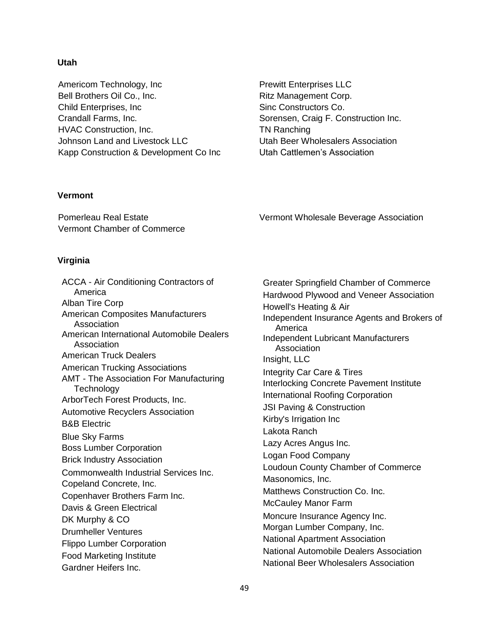# **Utah**

Americom Technology, Inc Bell Brothers Oil Co., Inc. Child Enterprises, Inc Crandall Farms, Inc. HVAC Construction, Inc. Johnson Land and Livestock LLC Kapp Construction & Development Co Inc Prewitt Enterprises LLC Ritz Management Corp. Sinc Constructors Co. Sorensen, Craig F. Construction Inc. TN Ranching Utah Beer Wholesalers Association Utah Cattlemen's Association

Vermont Wholesale Beverage Association

# **Vermont**

Pomerleau Real Estate Vermont Chamber of Commerce

# **Virginia**

ACCA - Air Conditioning Contractors of America Alban Tire Corp American Composites Manufacturers Association American International Automobile Dealers Association American Truck Dealers American Trucking Associations AMT - The Association For Manufacturing **Technology** ArborTech Forest Products, Inc. Automotive Recyclers Association B&B Electric Blue Sky Farms Boss Lumber Corporation Brick Industry Association Commonwealth Industrial Services Inc. Copeland Concrete, Inc. Copenhaver Brothers Farm Inc. Davis & Green Electrical DK Murphy & CO Drumheller Ventures Flippo Lumber Corporation Food Marketing Institute Gardner Heifers Inc.

Greater Springfield Chamber of Commerce Hardwood Plywood and Veneer Association Howell's Heating & Air Independent Insurance Agents and Brokers of America Independent Lubricant Manufacturers **Association** Insight, LLC Integrity Car Care & Tires Interlocking Concrete Pavement Institute International Roofing Corporation JSI Paving & Construction Kirby's Irrigation Inc Lakota Ranch Lazy Acres Angus Inc. Logan Food Company Loudoun County Chamber of Commerce Masonomics, Inc. Matthews Construction Co. Inc. McCauley Manor Farm Moncure Insurance Agency Inc. Morgan Lumber Company, Inc. National Apartment Association National Automobile Dealers Association National Beer Wholesalers Association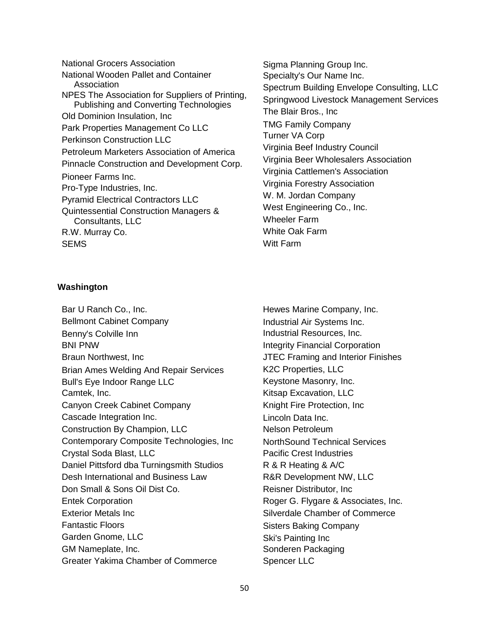National Grocers Association National Wooden Pallet and Container Association NPES The Association for Suppliers of Printing, Publishing and Converting Technologies Old Dominion Insulation, Inc Park Properties Management Co LLC Perkinson Construction LLC Petroleum Marketers Association of America Pinnacle Construction and Development Corp. Pioneer Farms Inc. Pro-Type Industries, Inc. Pyramid Electrical Contractors LLC Quintessential Construction Managers & Consultants, LLC R.W. Murray Co. **SFMS** 

Sigma Planning Group Inc. Specialty's Our Name Inc. Spectrum Building Envelope Consulting, LLC Springwood Livestock Management Services The Blair Bros., Inc TMG Family Company Turner VA Corp Virginia Beef Industry Council Virginia Beer Wholesalers Association Virginia Cattlemen's Association Virginia Forestry Association W. M. Jordan Company West Engineering Co., Inc. Wheeler Farm White Oak Farm Witt Farm

# **Washington**

Bar U Ranch Co., Inc. Bellmont Cabinet Company Benny's Colville Inn BNI PNW Braun Northwest, Inc Brian Ames Welding And Repair Services Bull's Eye Indoor Range LLC Camtek, Inc. Canyon Creek Cabinet Company Cascade Integration Inc. Construction By Champion, LLC Contemporary Composite Technologies, Inc Crystal Soda Blast, LLC Daniel Pittsford dba Turningsmith Studios Desh International and Business Law Don Small & Sons Oil Dist Co. Entek Corporation Exterior Metals Inc Fantastic Floors Garden Gnome, LLC GM Nameplate, Inc. Greater Yakima Chamber of Commerce

Hewes Marine Company, Inc. Industrial Air Systems Inc. Industrial Resources, Inc. Integrity Financial Corporation JTEC Framing and Interior Finishes K2C Properties, LLC Keystone Masonry, Inc. Kitsap Excavation, LLC Knight Fire Protection, Inc Lincoln Data Inc. Nelson Petroleum NorthSound Technical Services Pacific Crest Industries R & R Heating & A/C R&R Development NW, LLC Reisner Distributor, Inc Roger G. Flygare & Associates, Inc. Silverdale Chamber of Commerce Sisters Baking Company Ski's Painting Inc Sonderen Packaging Spencer LLC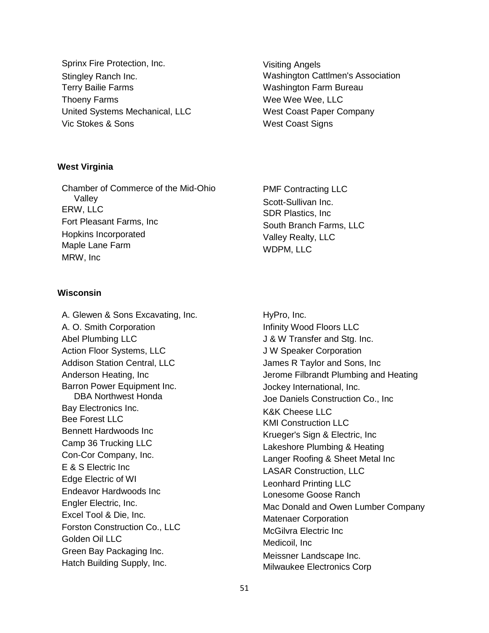Sprinx Fire Protection, Inc. Stingley Ranch Inc. Terry Bailie Farms Thoeny Farms United Systems Mechanical, LLC Vic Stokes & Sons

Visiting Angels Washington Cattlmen's Association Washington Farm Bureau Wee Wee Wee, LLC West Coast Paper Company West Coast Signs

# **West Virginia**

Chamber of Commerce of the Mid-Ohio Valley ERW, LLC Fort Pleasant Farms, Inc Hopkins Incorporated Maple Lane Farm MRW, Inc

# **Wisconsin**

A. Glewen & Sons Excavating, Inc. A. O. Smith Corporation Abel Plumbing LLC Action Floor Systems, LLC Addison Station Central, LLC Anderson Heating, Inc Barron Power Equipment Inc. DBA Northwest Honda Bay Electronics Inc. Bee Forest LLC Bennett Hardwoods Inc Camp 36 Trucking LLC Con-Cor Company, Inc. E & S Electric Inc Edge Electric of WI Endeavor Hardwoods Inc Engler Electric, Inc. Excel Tool & Die, Inc. Forston Construction Co., LLC Golden Oil LLC Green Bay Packaging Inc. Hatch Building Supply, Inc.

PMF Contracting LLC Scott-Sullivan Inc. SDR Plastics, Inc South Branch Farms, LLC Valley Realty, LLC WDPM, LLC

HyPro, Inc. Infinity Wood Floors LLC J & W Transfer and Stg. Inc. J W Speaker Corporation James R Taylor and Sons, Inc Jerome Filbrandt Plumbing and Heating Jockey International, Inc. Joe Daniels Construction Co., Inc K&K Cheese LLC KMI Construction LLC Krueger's Sign & Electric, Inc Lakeshore Plumbing & Heating Langer Roofing & Sheet Metal Inc LASAR Construction, LLC Leonhard Printing LLC Lonesome Goose Ranch Mac Donald and Owen Lumber Company Matenaer Corporation McGilvra Electric Inc Medicoil, Inc Meissner Landscape Inc. Milwaukee Electronics Corp